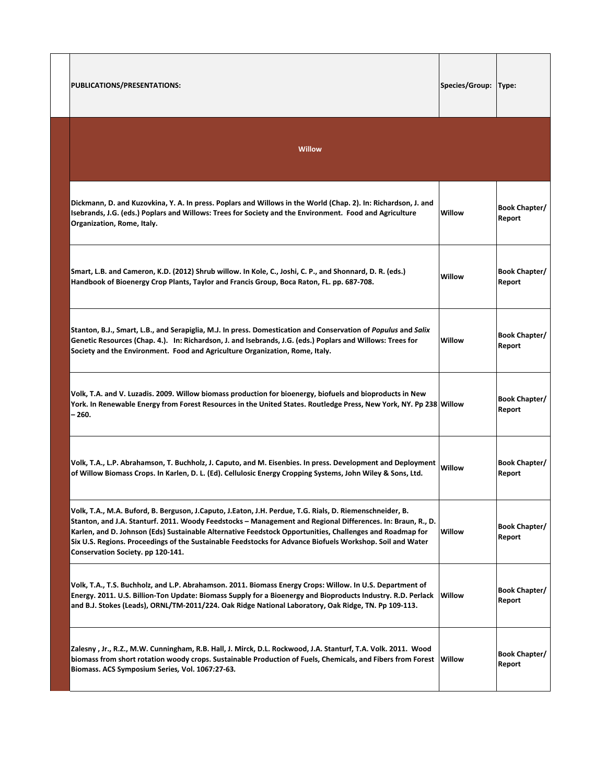| PUBLICATIONS/PRESENTATIONS:                                                                                                                                                                                                                                                                                                                                                                                                                                                           | Species/Group: | Type:                          |
|---------------------------------------------------------------------------------------------------------------------------------------------------------------------------------------------------------------------------------------------------------------------------------------------------------------------------------------------------------------------------------------------------------------------------------------------------------------------------------------|----------------|--------------------------------|
| Willow                                                                                                                                                                                                                                                                                                                                                                                                                                                                                |                |                                |
| Dickmann, D. and Kuzovkina, Y. A. In press. Poplars and Willows in the World (Chap. 2). In: Richardson, J. and<br>Isebrands, J.G. (eds.) Poplars and Willows: Trees for Society and the Environment. Food and Agriculture<br>Organization, Rome, Italy.                                                                                                                                                                                                                               | Willow         | Book Chapter/<br>Report        |
| Smart, L.B. and Cameron, K.D. (2012) Shrub willow. In Kole, C., Joshi, C. P., and Shonnard, D. R. (eds.)<br>Handbook of Bioenergy Crop Plants, Taylor and Francis Group, Boca Raton, FL. pp. 687-708.                                                                                                                                                                                                                                                                                 | Willow         | <b>Book Chapter/</b><br>Report |
| Stanton, B.J., Smart, L.B., and Serapiglia, M.J. In press. Domestication and Conservation of Populus and Salix<br>Genetic Resources (Chap. 4.). In: Richardson, J. and Isebrands, J.G. (eds.) Poplars and Willows: Trees for<br>Society and the Environment. Food and Agriculture Organization, Rome, Italy.                                                                                                                                                                          | Willow         | <b>Book Chapter/</b><br>Report |
| Volk, T.A. and V. Luzadis. 2009. Willow biomass production for bioenergy, biofuels and bioproducts in New<br>York. In Renewable Energy from Forest Resources in the United States. Routledge Press, New York, NY. Pp 238 Willow<br>$-260.$                                                                                                                                                                                                                                            |                | <b>Book Chapter/</b><br>Report |
| Volk, T.A., L.P. Abrahamson, T. Buchholz, J. Caputo, and M. Eisenbies. In press. Development and Deployment<br>of Willow Biomass Crops. In Karlen, D. L. (Ed). Cellulosic Energy Cropping Systems, John Wiley & Sons, Ltd.                                                                                                                                                                                                                                                            | Willow         | <b>Book Chapter/</b><br>Report |
| Volk, T.A., M.A. Buford, B. Berguson, J.Caputo, J.Eaton, J.H. Perdue, T.G. Rials, D. Riemenschneider, B.<br>Stanton, and J.A. Stanturf. 2011. Woody Feedstocks - Management and Regional Differences. In: Braun, R., D.<br>Karlen, and D. Johnson (Eds) Sustainable Alternative Feedstock Opportunities, Challenges and Roadmap for<br>Six U.S. Regions. Proceedings of the Sustainable Feedstocks for Advance Biofuels Workshop. Soil and Water<br>Conservation Society. pp 120-141. | Willow         | <b>Book Chapter/</b><br>Report |
| Volk, T.A., T.S. Buchholz, and L.P. Abrahamson. 2011. Biomass Energy Crops: Willow. In U.S. Department of<br>Energy. 2011. U.S. Billion-Ton Update: Biomass Supply for a Bioenergy and Bioproducts Industry. R.D. Perlack<br>and B.J. Stokes (Leads), ORNL/TM-2011/224. Oak Ridge National Laboratory, Oak Ridge, TN. Pp 109-113.                                                                                                                                                     | Willow         | Book Chapter/<br>Report        |
| Zalesny, Jr., R.Z., M.W. Cunningham, R.B. Hall, J. Mirck, D.L. Rockwood, J.A. Stanturf, T.A. Volk. 2011. Wood<br>biomass from short rotation woody crops. Sustainable Production of Fuels, Chemicals, and Fibers from Forest Willow<br>Biomass. ACS Symposium Series, Vol. 1067:27-63.                                                                                                                                                                                                |                | Book Chapter/<br>Report        |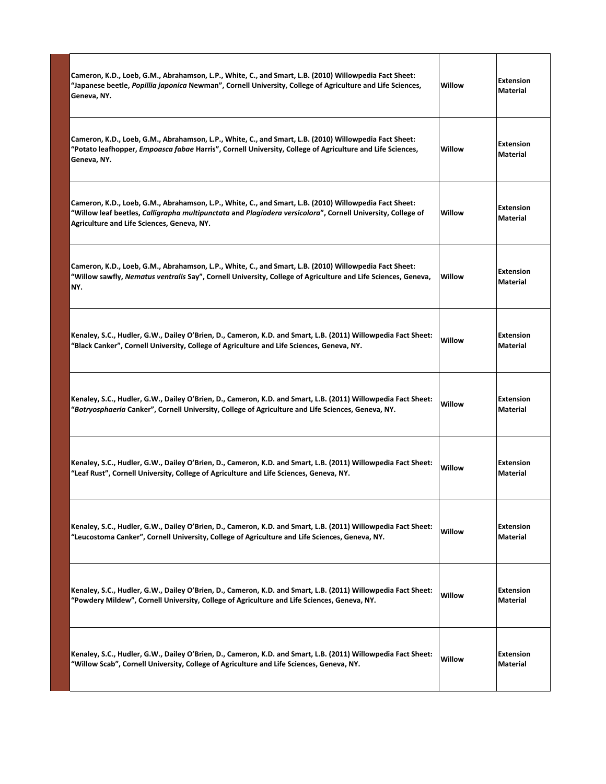| Cameron, K.D., Loeb, G.M., Abrahamson, L.P., White, C., and Smart, L.B. (2010) Willowpedia Fact Sheet:<br>"Japanese beetle, Popillia japonica Newman", Cornell University, College of Agriculture and Life Sciences,<br>Geneva, NY.                                 | Willow | <b>Extension</b><br><b>Material</b> |
|---------------------------------------------------------------------------------------------------------------------------------------------------------------------------------------------------------------------------------------------------------------------|--------|-------------------------------------|
| Cameron, K.D., Loeb, G.M., Abrahamson, L.P., White, C., and Smart, L.B. (2010) Willowpedia Fact Sheet:<br>"Potato leafhopper, <i>Empoasca fabae</i> Harris", Cornell University, College of Agriculture and Life Sciences,<br>Geneva, NY.                           | Willow | <b>Extension</b><br><b>Material</b> |
| Cameron, K.D., Loeb, G.M., Abrahamson, L.P., White, C., and Smart, L.B. (2010) Willowpedia Fact Sheet:<br>"Willow leaf beetles, Calligrapha multipunctata and Plagiodera versicolora", Cornell University, College of<br>Agriculture and Life Sciences, Geneva, NY. | Willow | <b>Extension</b><br>Material        |
| Cameron, K.D., Loeb, G.M., Abrahamson, L.P., White, C., and Smart, L.B. (2010) Willowpedia Fact Sheet:<br>"Willow sawfly, Nematus ventralis Say", Cornell University, College of Agriculture and Life Sciences, Geneva,<br>NY.                                      | Willow | <b>Extension</b><br><b>Material</b> |
| Kenaley, S.C., Hudler, G.W., Dailey O'Brien, D., Cameron, K.D. and Smart, L.B. (2011) Willowpedia Fact Sheet:<br>"Black Canker", Cornell University, College of Agriculture and Life Sciences, Geneva, NY.                                                          | Willow | <b>Extension</b><br>Material        |
| Kenaley, S.C., Hudler, G.W., Dailey O'Brien, D., Cameron, K.D. and Smart, L.B. (2011) Willowpedia Fact Sheet:<br>"Botryosphaeria Canker", Cornell University, College of Agriculture and Life Sciences, Geneva, NY.                                                 | Willow | <b>Extension</b><br><b>Material</b> |
| Kenaley, S.C., Hudler, G.W., Dailey O'Brien, D., Cameron, K.D. and Smart, L.B. (2011) Willowpedia Fact Sheet:<br>"Leaf Rust", Cornell University, College of Agriculture and Life Sciences, Geneva, NY.                                                             | Willow | <b>Extension</b><br><b>Material</b> |
| Kenaley, S.C., Hudler, G.W., Dailey O'Brien, D., Cameron, K.D. and Smart, L.B. (2011) Willowpedia Fact Sheet:<br>"Leucostoma Canker", Cornell University, College of Agriculture and Life Sciences, Geneva, NY.                                                     | Willow | <b>Extension</b><br>Material        |
| Kenaley, S.C., Hudler, G.W., Dailey O'Brien, D., Cameron, K.D. and Smart, L.B. (2011) Willowpedia Fact Sheet:<br>"Powdery Mildew", Cornell University, College of Agriculture and Life Sciences, Geneva, NY.                                                        | Willow | <b>Extension</b><br>Material        |
| Kenaley, S.C., Hudler, G.W., Dailey O'Brien, D., Cameron, K.D. and Smart, L.B. (2011) Willowpedia Fact Sheet:<br>"Willow Scab", Cornell University, College of Agriculture and Life Sciences, Geneva, NY.                                                           | Willow | <b>Extension</b><br>Material        |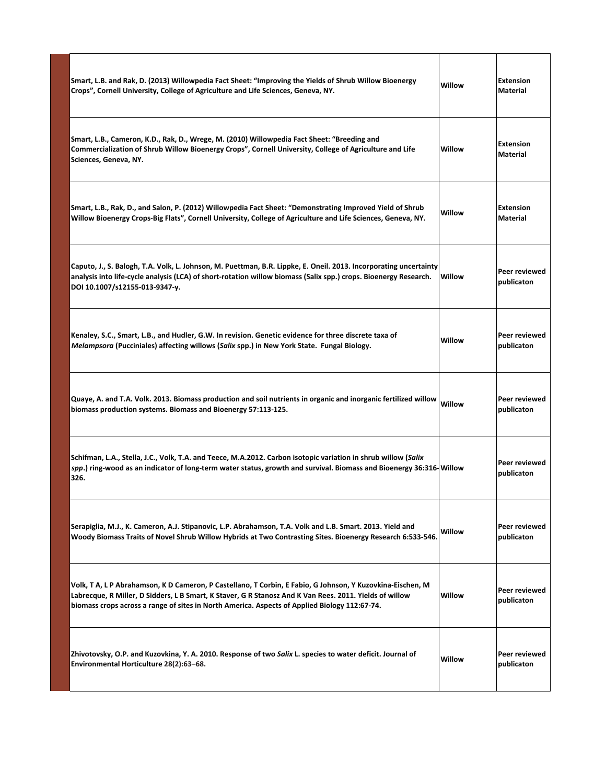| Smart, L.B. and Rak, D. (2013) Willowpedia Fact Sheet: "Improving the Yields of Shrub Willow Bioenergy<br>Crops", Cornell University, College of Agriculture and Life Sciences, Geneva, NY.                                                                                                                            | Willow | <b>Extension</b><br><b>Material</b> |
|------------------------------------------------------------------------------------------------------------------------------------------------------------------------------------------------------------------------------------------------------------------------------------------------------------------------|--------|-------------------------------------|
| Smart, L.B., Cameron, K.D., Rak, D., Wrege, M. (2010) Willowpedia Fact Sheet: "Breeding and<br>Commercialization of Shrub Willow Bioenergy Crops", Cornell University, College of Agriculture and Life<br>Sciences, Geneva, NY.                                                                                        | Willow | <b>Extension</b><br>Material        |
| Smart, L.B., Rak, D., and Salon, P. (2012) Willowpedia Fact Sheet: "Demonstrating Improved Yield of Shrub<br>Willow Bioenergy Crops-Big Flats", Cornell University, College of Agriculture and Life Sciences, Geneva, NY.                                                                                              | Willow | <b>Extension</b><br><b>Material</b> |
| Caputo, J., S. Balogh, T.A. Volk, L. Johnson, M. Puettman, B.R. Lippke, E. Oneil. 2013. Incorporating uncertainty<br>analysis into life-cycle analysis (LCA) of short-rotation willow biomass (Salix spp.) crops. Bioenergy Research.<br>DOI 10.1007/s12155-013-9347-y.                                                | Willow | Peer reviewed<br>publicaton         |
| Kenaley, S.C., Smart, L.B., and Hudler, G.W. In revision. Genetic evidence for three discrete taxa of<br><i>Melampsora</i> (Pucciniales) affecting willows (Salix spp.) in New York State. Fungal Biology.                                                                                                             | Willow | Peer reviewed<br>publicaton         |
| Quaye, A. and T.A. Volk. 2013. Biomass production and soil nutrients in organic and inorganic fertilized willow<br>biomass production systems. Biomass and Bioenergy 57:113-125.                                                                                                                                       | Willow | Peer reviewed<br>publicaton         |
| Schifman, L.A., Stella, J.C., Volk, T.A. and Teece, M.A.2012. Carbon isotopic variation in shrub willow (Salix<br>spp.) ring-wood as an indicator of long-term water status, growth and survival. Biomass and Bioenergy 36:316-Willow<br>326.                                                                          |        | Peer reviewed<br>publicaton         |
| Serapiglia, M.J., K. Cameron, A.J. Stipanovic, L.P. Abrahamson, T.A. Volk and L.B. Smart. 2013. Yield and<br>Woody Biomass Traits of Novel Shrub Willow Hybrids at Two Contrasting Sites. Bioenergy Research 6:533-546.                                                                                                | Willow | Peer reviewed<br>publicaton         |
| Volk, T A, L P Abrahamson, K D Cameron, P Castellano, T Corbin, E Fabio, G Johnson, Y Kuzovkina-Eischen, M<br>Labrecque, R Miller, D Sidders, L B Smart, K Staver, G R Stanosz And K Van Rees. 2011. Yields of willow<br>biomass crops across a range of sites in North America. Aspects of Applied Biology 112:67-74. | Willow | Peer reviewed<br>publicaton         |
| Zhivotovsky, O.P. and Kuzovkina, Y. A. 2010. Response of two Salix L. species to water deficit. Journal of<br>Environmental Horticulture 28(2):63-68.                                                                                                                                                                  | Willow | Peer reviewed<br>publicaton         |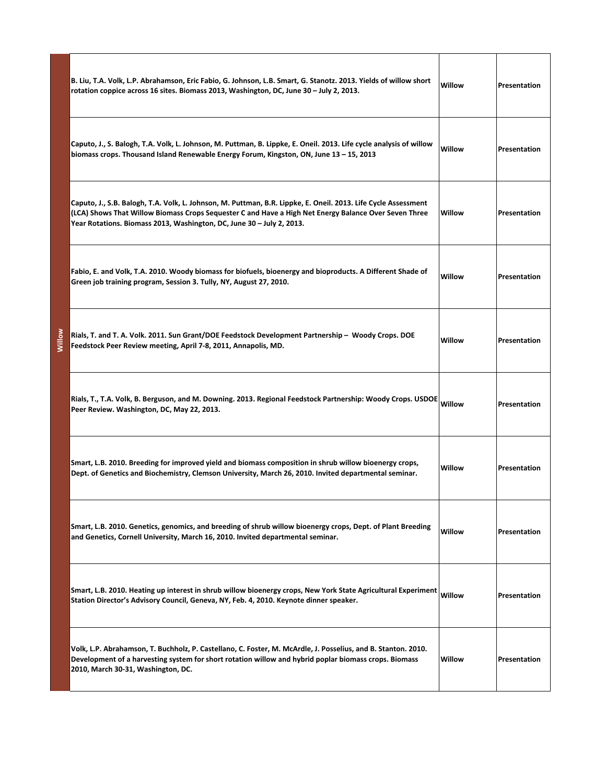|        | B. Liu, T.A. Volk, L.P. Abrahamson, Eric Fabio, G. Johnson, L.B. Smart, G. Stanotz. 2013. Yields of willow short<br>rotation coppice across 16 sites. Biomass 2013, Washington, DC, June 30 - July 2, 2013.                                                                                      | Willow | Presentation |
|--------|--------------------------------------------------------------------------------------------------------------------------------------------------------------------------------------------------------------------------------------------------------------------------------------------------|--------|--------------|
|        | Caputo, J., S. Balogh, T.A. Volk, L. Johnson, M. Puttman, B. Lippke, E. Oneil. 2013. Life cycle analysis of willow<br>biomass crops. Thousand Island Renewable Energy Forum, Kingston, ON, June 13 - 15, 2013                                                                                    | Willow | Presentation |
|        | Caputo, J., S.B. Balogh, T.A. Volk, L. Johnson, M. Puttman, B.R. Lippke, E. Oneil. 2013. Life Cycle Assessment<br>(LCA) Shows That Willow Biomass Crops Sequester C and Have a High Net Energy Balance Over Seven Three<br>Year Rotations. Biomass 2013, Washington, DC, June 30 - July 2, 2013. | Willow | Presentation |
|        | Fabio, E. and Volk, T.A. 2010. Woody biomass for biofuels, bioenergy and bioproducts. A Different Shade of<br>Green job training program, Session 3. Tully, NY, August 27, 2010.                                                                                                                 | Willow | Presentation |
| Villow | Rials, T. and T. A. Volk. 2011. Sun Grant/DOE Feedstock Development Partnership - Woody Crops. DOE<br>Feedstock Peer Review meeting, April 7-8, 2011, Annapolis, MD.                                                                                                                             | Willow | Presentation |
|        | Rials, T., T.A. Volk, B. Berguson, and M. Downing. 2013. Regional Feedstock Partnership: Woody Crops. USDOE<br>Peer Review. Washington, DC, May 22, 2013.                                                                                                                                        | Willow | Presentation |
|        | Smart, L.B. 2010. Breeding for improved yield and biomass composition in shrub willow bioenergy crops,<br>Dept. of Genetics and Biochemistry, Clemson University, March 26, 2010. Invited departmental seminar.                                                                                  | Willow | Presentation |
|        | Smart, L.B. 2010. Genetics, genomics, and breeding of shrub willow bioenergy crops, Dept. of Plant Breeding<br>and Genetics, Cornell University, March 16, 2010. Invited departmental seminar.                                                                                                   | Willow | Presentation |
|        | Smart, L.B. 2010. Heating up interest in shrub willow bioenergy crops, New York State Agricultural Experiment<br>Station Director's Advisory Council, Geneva, NY, Feb. 4, 2010. Keynote dinner speaker.                                                                                          | Willow | Presentation |
|        | Volk, L.P. Abrahamson, T. Buchholz, P. Castellano, C. Foster, M. McArdle, J. Posselius, and B. Stanton. 2010.<br>Development of a harvesting system for short rotation willow and hybrid poplar biomass crops. Biomass<br>2010, March 30-31, Washington, DC.                                     | Willow | Presentation |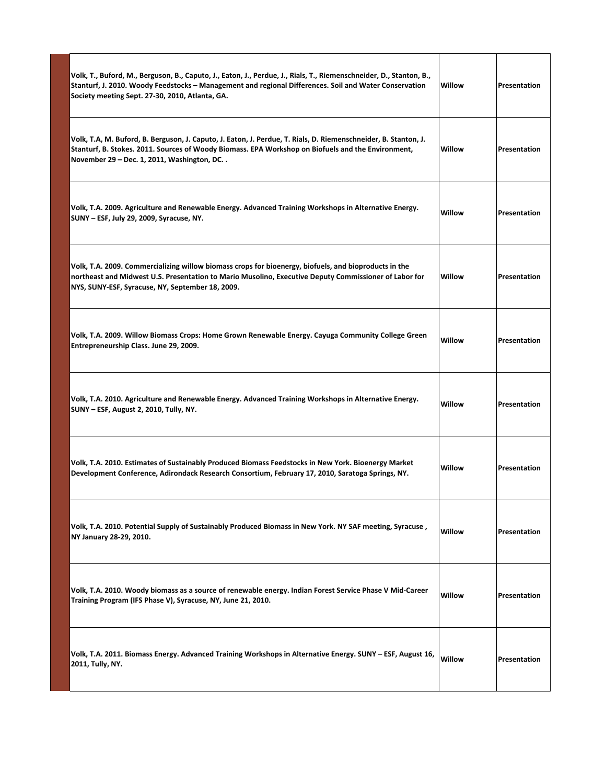| Volk, T., Buford, M., Berguson, B., Caputo, J., Eaton, J., Perdue, J., Rials, T., Riemenschneider, D., Stanton, B.,<br>Stanturf, J. 2010. Woody Feedstocks - Management and regional Differences. Soil and Water Conservation<br>Society meeting Sept. 27-30, 2010, Atlanta, GA. | Willow | Presentation |
|----------------------------------------------------------------------------------------------------------------------------------------------------------------------------------------------------------------------------------------------------------------------------------|--------|--------------|
| Volk, T.A, M. Buford, B. Berguson, J. Caputo, J. Eaton, J. Perdue, T. Rials, D. Riemenschneider, B. Stanton, J.<br>Stanturf, B. Stokes. 2011. Sources of Woody Biomass. EPA Workshop on Biofuels and the Environment,<br>November 29 - Dec. 1, 2011, Washington, DC              | Willow | Presentation |
| Volk, T.A. 2009. Agriculture and Renewable Energy. Advanced Training Workshops in Alternative Energy.<br>SUNY - ESF, July 29, 2009, Syracuse, NY.                                                                                                                                | Willow | Presentation |
| Volk, T.A. 2009. Commercializing willow biomass crops for bioenergy, biofuels, and bioproducts in the<br>northeast and Midwest U.S. Presentation to Mario Musolino, Executive Deputy Commissioner of Labor for<br>NYS, SUNY-ESF, Syracuse, NY, September 18, 2009.               | Willow | Presentation |
| Volk, T.A. 2009. Willow Biomass Crops: Home Grown Renewable Energy. Cayuga Community College Green<br>Entrepreneurship Class. June 29, 2009.                                                                                                                                     | Willow | Presentation |
| Volk, T.A. 2010. Agriculture and Renewable Energy. Advanced Training Workshops in Alternative Energy.<br>SUNY - ESF, August 2, 2010, Tully, NY.                                                                                                                                  | Willow | Presentation |
| Volk, T.A. 2010. Estimates of Sustainably Produced Biomass Feedstocks in New York. Bioenergy Market<br>Development Conference, Adirondack Research Consortium, February 17, 2010, Saratoga Springs, NY.                                                                          | Willow | Presentation |
| Volk, T.A. 2010. Potential Supply of Sustainably Produced Biomass in New York. NY SAF meeting, Syracuse,<br>NY January 28-29, 2010.                                                                                                                                              | Willow | Presentation |
| Volk, T.A. 2010. Woody biomass as a source of renewable energy. Indian Forest Service Phase V Mid-Career<br>Training Program (IFS Phase V), Syracuse, NY, June 21, 2010.                                                                                                         | Willow | Presentation |
| Volk, T.A. 2011. Biomass Energy. Advanced Training Workshops in Alternative Energy. SUNY – ESF, August 16,<br>2011, Tully, NY.                                                                                                                                                   | Willow | Presentation |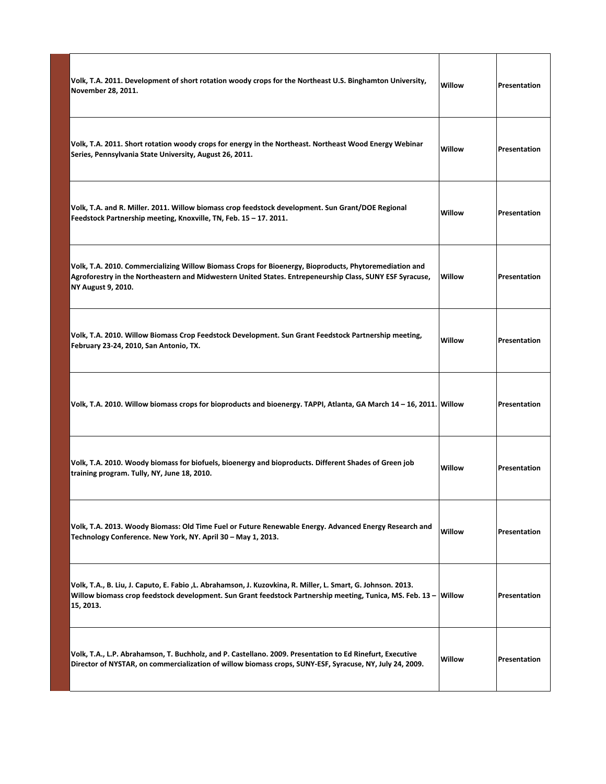| Volk, T.A. 2011. Development of short rotation woody crops for the Northeast U.S. Binghamton University,<br>November 28, 2011.                                                                                                                | Willow | Presentation |
|-----------------------------------------------------------------------------------------------------------------------------------------------------------------------------------------------------------------------------------------------|--------|--------------|
| Volk, T.A. 2011. Short rotation woody crops for energy in the Northeast. Northeast Wood Energy Webinar<br>Series, Pennsylvania State University, August 26, 2011.                                                                             | Willow | Presentation |
| Volk, T.A. and R. Miller. 2011. Willow biomass crop feedstock development. Sun Grant/DOE Regional<br>Feedstock Partnership meeting, Knoxville, TN, Feb. 15 - 17. 2011.                                                                        | Willow | Presentation |
| Volk, T.A. 2010. Commercializing Willow Biomass Crops for Bioenergy, Bioproducts, Phytoremediation and<br>Agroforestry in the Northeastern and Midwestern United States. Entrepeneurship Class, SUNY ESF Syracuse,<br>NY August 9, 2010.      | Willow | Presentation |
| Volk, T.A. 2010. Willow Biomass Crop Feedstock Development. Sun Grant Feedstock Partnership meeting,<br>February 23-24, 2010, San Antonio, TX.                                                                                                | Willow | Presentation |
| Volk, T.A. 2010. Willow biomass crops for bioproducts and bioenergy. TAPPI, Atlanta, GA March 14 – 16, 2011. Willow                                                                                                                           |        | Presentation |
| Volk, T.A. 2010. Woody biomass for biofuels, bioenergy and bioproducts. Different Shades of Green job<br>training program. Tully, NY, June 18, 2010.                                                                                          | Willow | Presentation |
| Volk, T.A. 2013. Woody Biomass: Old Time Fuel or Future Renewable Energy. Advanced Energy Research and<br>Technology Conference. New York, NY. April 30 - May 1, 2013.                                                                        | Willow | Presentation |
| Volk, T.A., B. Liu, J. Caputo, E. Fabio ,L. Abrahamson, J. Kuzovkina, R. Miller, L. Smart, G. Johnson. 2013.<br>Willow biomass crop feedstock development. Sun Grant feedstock Partnership meeting, Tunica, MS. Feb. 13 - Willow<br>15, 2013. |        | Presentation |
| Volk, T.A., L.P. Abrahamson, T. Buchholz, and P. Castellano. 2009. Presentation to Ed Rinefurt, Executive<br>Director of NYSTAR, on commercialization of willow biomass crops, SUNY-ESF, Syracuse, NY, July 24, 2009.                         | Willow | Presentation |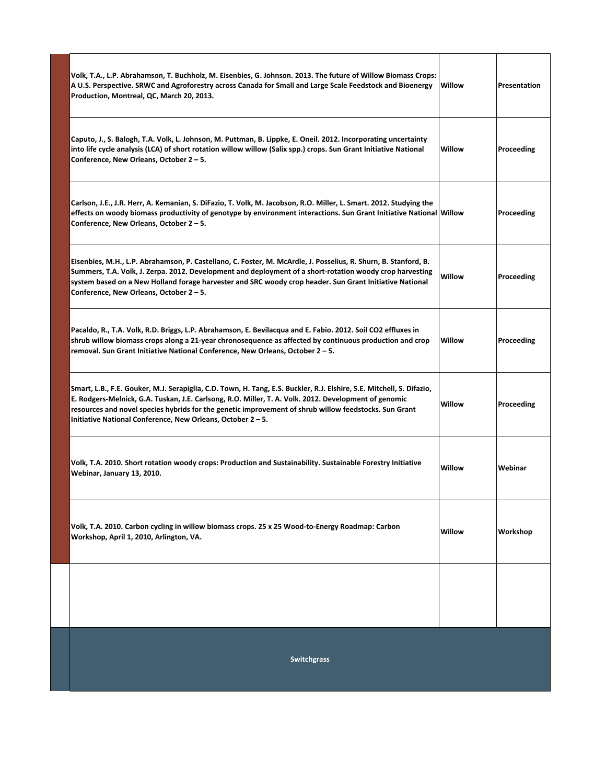| Volk, T.A., L.P. Abrahamson, T. Buchholz, M. Eisenbies, G. Johnson. 2013. The future of Willow Biomass Crops:<br>A U.S. Perspective. SRWC and Agroforestry across Canada for Small and Large Scale Feedstock and Bioenergy<br>Production, Montreal, QC, March 20, 2013.                                                                                                                                | Willow | Presentation |
|--------------------------------------------------------------------------------------------------------------------------------------------------------------------------------------------------------------------------------------------------------------------------------------------------------------------------------------------------------------------------------------------------------|--------|--------------|
| Caputo, J., S. Balogh, T.A. Volk, L. Johnson, M. Puttman, B. Lippke, E. Oneil. 2012. Incorporating uncertainty<br>into life cycle analysis (LCA) of short rotation willow willow (Salix spp.) crops. Sun Grant Initiative National<br>Conference, New Orleans, October 2 – 5.                                                                                                                          | Willow | Proceeding   |
| Carlson, J.E., J.R. Herr, A. Kemanian, S. DiFazio, T. Volk, M. Jacobson, R.O. Miller, L. Smart. 2012. Studying the<br>effects on woody biomass productivity of genotype by environment interactions. Sun Grant Initiative National Willow<br>Conference, New Orleans, October 2 – 5.                                                                                                                   |        | Proceeding   |
| Eisenbies, M.H., L.P. Abrahamson, P. Castellano, C. Foster, M. McArdle, J. Posselius, R. Shurn, B. Stanford, B.<br>Summers, T.A. Volk, J. Zerpa. 2012. Development and deployment of a short-rotation woody crop harvesting<br>system based on a New Holland forage harvester and SRC woody crop header. Sun Grant Initiative National<br>Conference, New Orleans, October 2 – 5.                      | Willow | Proceeding   |
| Pacaldo, R., T.A. Volk, R.D. Briggs, L.P. Abrahamson, E. Bevilacqua and E. Fabio. 2012. Soil CO2 effluxes in<br>shrub willow biomass crops along a 21-year chronosequence as affected by continuous production and crop<br>removal. Sun Grant Initiative National Conference, New Orleans, October 2 – 5.                                                                                              | Willow | Proceeding   |
| Smart, L.B., F.E. Gouker, M.J. Serapiglia, C.D. Town, H. Tang, E.S. Buckler, R.J. Elshire, S.E. Mitchell, S. Difazio,<br>E. Rodgers-Melnick, G.A. Tuskan, J.E. Carlsong, R.O. Miller, T. A. Volk. 2012. Development of genomic<br>resources and novel species hybrids for the genetic improvement of shrub willow feedstocks. Sun Grant<br>Initiative National Conference, New Orleans, October 2 – 5. | Willow | Proceeding   |
| Volk, T.A. 2010. Short rotation woody crops: Production and Sustainability. Sustainable Forestry Initiative<br>Webinar, January 13, 2010.                                                                                                                                                                                                                                                              | Willow | Webinar      |
| Volk, T.A. 2010. Carbon cycling in willow biomass crops. 25 x 25 Wood-to-Energy Roadmap: Carbon<br>Workshop, April 1, 2010, Arlington, VA.                                                                                                                                                                                                                                                             | Willow | Workshop     |
|                                                                                                                                                                                                                                                                                                                                                                                                        |        |              |
| <b>Switchgrass</b>                                                                                                                                                                                                                                                                                                                                                                                     |        |              |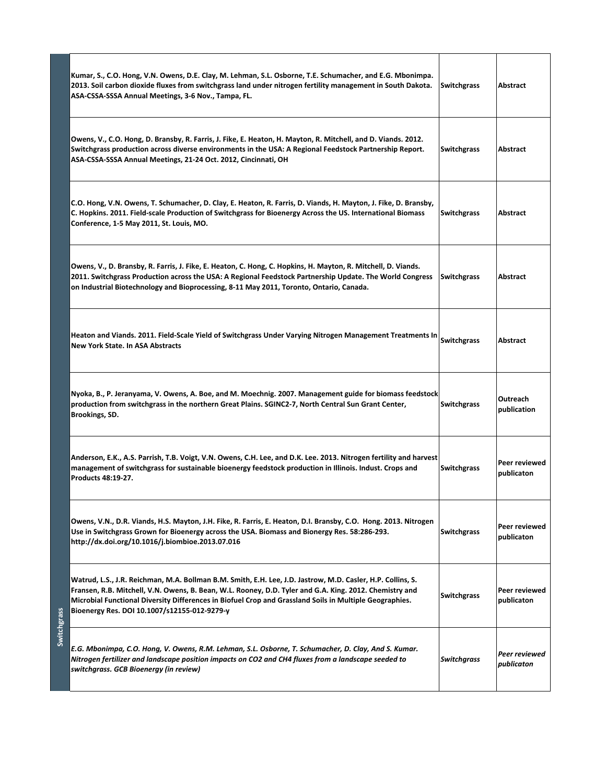|             | Kumar, S., C.O. Hong, V.N. Owens, D.E. Clay, M. Lehman, S.L. Osborne, T.E. Schumacher, and E.G. Mbonimpa.<br>2013. Soil carbon dioxide fluxes from switchgrass land under nitrogen fertility management in South Dakota.<br>ASA-CSSA-SSSA Annual Meetings, 3-6 Nov., Tampa, FL.                                                                                                   | <b>Switchgrass</b> | Abstract                           |
|-------------|-----------------------------------------------------------------------------------------------------------------------------------------------------------------------------------------------------------------------------------------------------------------------------------------------------------------------------------------------------------------------------------|--------------------|------------------------------------|
|             | Owens, V., C.O. Hong, D. Bransby, R. Farris, J. Fike, E. Heaton, H. Mayton, R. Mitchell, and D. Viands. 2012.<br>Switchgrass production across diverse environments in the USA: A Regional Feedstock Partnership Report.<br>ASA-CSSA-SSSA Annual Meetings, 21-24 Oct. 2012, Cincinnati, OH                                                                                        | <b>Switchgrass</b> | Abstract                           |
|             | C.O. Hong, V.N. Owens, T. Schumacher, D. Clay, E. Heaton, R. Farris, D. Viands, H. Mayton, J. Fike, D. Bransby,<br>C. Hopkins. 2011. Field-scale Production of Switchgrass for Bioenergy Across the US. International Biomass<br>Conference, 1-5 May 2011, St. Louis, MO.                                                                                                         | <b>Switchgrass</b> | Abstract                           |
|             | Owens, V., D. Bransby, R. Farris, J. Fike, E. Heaton, C. Hong, C. Hopkins, H. Mayton, R. Mitchell, D. Viands.<br>2011. Switchgrass Production across the USA: A Regional Feedstock Partnership Update. The World Congress<br>on Industrial Biotechnology and Bioprocessing, 8-11 May 2011, Toronto, Ontario, Canada.                                                              | Switchgrass        | Abstract                           |
|             | Heaton and Viands. 2011. Field-Scale Yield of Switchgrass Under Varying Nitrogen Management Treatments In<br><b>New York State. In ASA Abstracts</b>                                                                                                                                                                                                                              | <b>Switchgrass</b> | Abstract                           |
|             | Nyoka, B., P. Jeranyama, V. Owens, A. Boe, and M. Moechnig. 2007. Management guide for biomass feedstock<br>production from switchgrass in the northern Great Plains. SGINC2-7, North Central Sun Grant Center,<br>Brookings, SD.                                                                                                                                                 | <b>Switchgrass</b> | Outreach<br>publication            |
|             | Anderson, E.K., A.S. Parrish, T.B. Voigt, V.N. Owens, C.H. Lee, and D.K. Lee. 2013. Nitrogen fertility and harvest<br>management of switchgrass for sustainable bioenergy feedstock production in Illinois. Indust. Crops and<br><b>Products 48:19-27.</b>                                                                                                                        | <b>Switchgrass</b> | <b>Peer reviewed</b><br>publicaton |
|             | Owens, V.N., D.R. Viands, H.S. Mayton, J.H. Fike, R. Farris, E. Heaton, D.I. Bransby, C.O. Hong. 2013. Nitrogen<br>Use in Switchgrass Grown for Bioenergy across the USA. Biomass and Bionergy Res. 58:286-293.<br>http://dx.doi.org/10.1016/j.biombioe.2013.07.016                                                                                                               | <b>Switchgrass</b> | Peer reviewed<br>publicaton        |
|             | Watrud, L.S., J.R. Reichman, M.A. Bollman B.M. Smith, E.H. Lee, J.D. Jastrow, M.D. Casler, H.P. Collins, S.<br>Fransen, R.B. Mitchell, V.N. Owens, B. Bean, W.L. Rooney, D.D. Tyler and G.A. King. 2012. Chemistry and<br>Microbial Functional Diversity Differences in Biofuel Crop and Grassland Soils in Multiple Geographies.<br>Bioenergy Res. DOI 10.1007/s12155-012-9279-y | <b>Switchgrass</b> | Peer reviewed<br>publicaton        |
| Switchgrass | E.G. Mbonimpa, C.O. Hong, V. Owens, R.M. Lehman, S.L. Osborne, T. Schumacher, D. Clay, And S. Kumar.<br>Nitrogen fertilizer and landscape position impacts on CO2 and CH4 fluxes from a landscape seeded to<br>switchgrass. GCB Bioenergy (in review)                                                                                                                             | <b>Switchgrass</b> | Peer reviewed<br>publicaton        |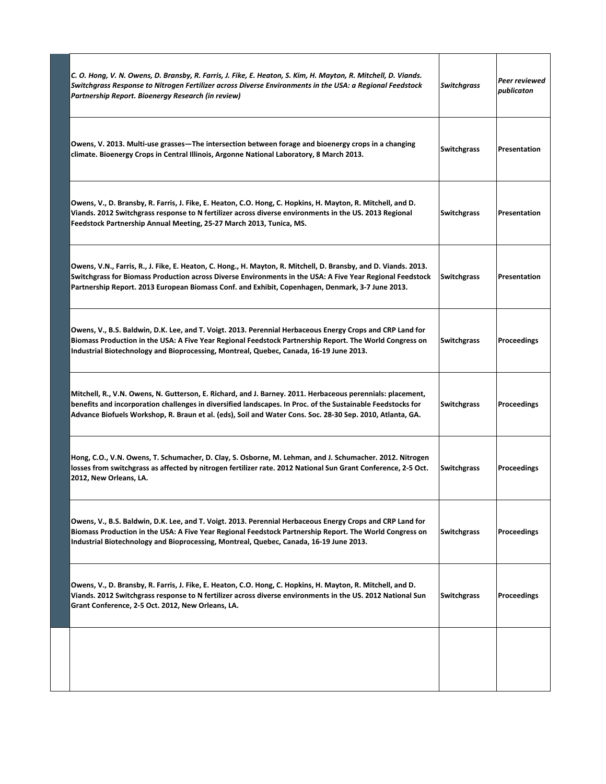| C. O. Hong, V. N. Owens, D. Bransby, R. Farris, J. Fike, E. Heaton, S. Kim, H. Mayton, R. Mitchell, D. Viands.<br>Switchgrass Response to Nitrogen Fertilizer across Diverse Environments in the USA: a Regional Feedstock<br>Partnership Report. Bioenergy Research (in review)                                                       | <b>Switchgrass</b> | Peer reviewed<br>publicaton |
|----------------------------------------------------------------------------------------------------------------------------------------------------------------------------------------------------------------------------------------------------------------------------------------------------------------------------------------|--------------------|-----------------------------|
| Owens, V. 2013. Multi-use grasses—The intersection between forage and bioenergy crops in a changing<br>climate. Bioenergy Crops in Central Illinois, Argonne National Laboratory, 8 March 2013.                                                                                                                                        | <b>Switchgrass</b> | Presentation                |
| Owens, V., D. Bransby, R. Farris, J. Fike, E. Heaton, C.O. Hong, C. Hopkins, H. Mayton, R. Mitchell, and D.<br>Viands. 2012 Switchgrass response to N fertilizer across diverse environments in the US. 2013 Regional<br>Feedstock Partnership Annual Meeting, 25-27 March 2013, Tunica, MS.                                           | <b>Switchgrass</b> | Presentation                |
| Owens, V.N., Farris, R., J. Fike, E. Heaton, C. Hong., H. Mayton, R. Mitchell, D. Bransby, and D. Viands. 2013.<br>Switchgrass for Biomass Production across Diverse Environments in the USA: A Five Year Regional Feedstock<br>Partnership Report. 2013 European Biomass Conf. and Exhibit, Copenhagen, Denmark, 3-7 June 2013.       | <b>Switchgrass</b> | Presentation                |
| Owens, V., B.S. Baldwin, D.K. Lee, and T. Voigt. 2013. Perennial Herbaceous Energy Crops and CRP Land for<br>Biomass Production in the USA: A Five Year Regional Feedstock Partnership Report. The World Congress on<br>Industrial Biotechnology and Bioprocessing, Montreal, Quebec, Canada, 16-19 June 2013.                         | <b>Switchgrass</b> | Proceedings                 |
| Mitchell, R., V.N. Owens, N. Gutterson, E. Richard, and J. Barney. 2011. Herbaceous perennials: placement,<br>benefits and incorporation challenges in diversified landscapes. In Proc. of the Sustainable Feedstocks for<br>Advance Biofuels Workshop, R. Braun et al. (eds), Soil and Water Cons. Soc. 28-30 Sep. 2010, Atlanta, GA. | <b>Switchgrass</b> | Proceedings                 |
| Hong, C.O., V.N. Owens, T. Schumacher, D. Clay, S. Osborne, M. Lehman, and J. Schumacher. 2012. Nitrogen<br>losses from switchgrass as affected by nitrogen fertilizer rate. 2012 National Sun Grant Conference, 2-5 Oct.<br>2012, New Orleans, LA.                                                                                    | Switchgrass        | Proceedings                 |
| Owens, V., B.S. Baldwin, D.K. Lee, and T. Voigt. 2013. Perennial Herbaceous Energy Crops and CRP Land for<br>Biomass Production in the USA: A Five Year Regional Feedstock Partnership Report. The World Congress on<br>Industrial Biotechnology and Bioprocessing, Montreal, Quebec, Canada, 16-19 June 2013.                         | <b>Switchgrass</b> | Proceedings                 |
| Owens, V., D. Bransby, R. Farris, J. Fike, E. Heaton, C.O. Hong, C. Hopkins, H. Mayton, R. Mitchell, and D.<br>Viands. 2012 Switchgrass response to N fertilizer across diverse environments in the US. 2012 National Sun<br>Grant Conference, 2-5 Oct. 2012, New Orleans, LA.                                                         | <b>Switchgrass</b> | Proceedings                 |
|                                                                                                                                                                                                                                                                                                                                        |                    |                             |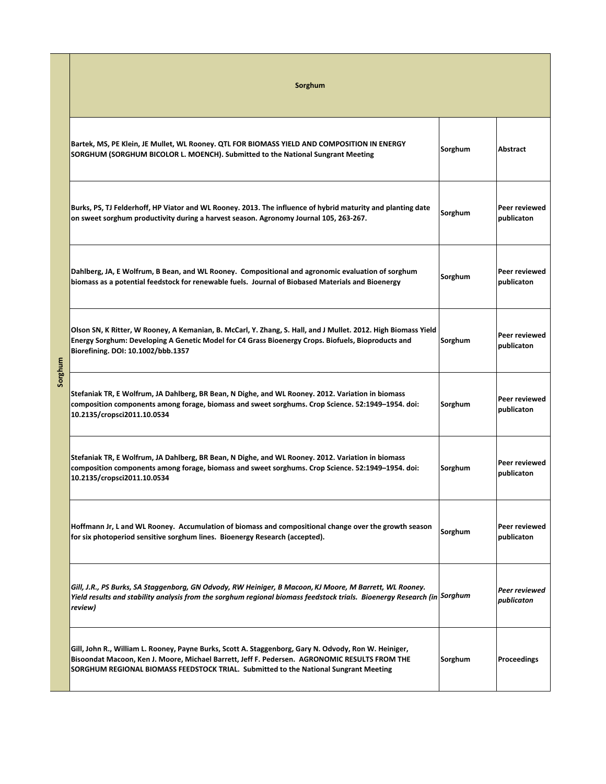|         | Sorghum                                                                                                                                                                                                                                                                                        |         |                             |
|---------|------------------------------------------------------------------------------------------------------------------------------------------------------------------------------------------------------------------------------------------------------------------------------------------------|---------|-----------------------------|
|         | Bartek, MS, PE Klein, JE Mullet, WL Rooney. QTL FOR BIOMASS YIELD AND COMPOSITION IN ENERGY<br>SORGHUM (SORGHUM BICOLOR L. MOENCH). Submitted to the National Sungrant Meeting                                                                                                                 | Sorghum | Abstract                    |
|         | Burks, PS, TJ Felderhoff, HP Viator and WL Rooney. 2013. The influence of hybrid maturity and planting date<br>on sweet sorghum productivity during a harvest season. Agronomy Journal 105, 263-267.                                                                                           | Sorghum | Peer reviewed<br>publicaton |
|         | Dahlberg, JA, E Wolfrum, B Bean, and WL Rooney. Compositional and agronomic evaluation of sorghum<br>biomass as a potential feedstock for renewable fuels. Journal of Biobased Materials and Bioenergy                                                                                         | Sorghum | Peer reviewed<br>publicaton |
|         | Olson SN, K Ritter, W Rooney, A Kemanian, B. McCarl, Y. Zhang, S. Hall, and J Mullet. 2012. High Biomass Yield<br>Energy Sorghum: Developing A Genetic Model for C4 Grass Bioenergy Crops. Biofuels, Bioproducts and<br>Biorefining. DOI: 10.1002/bbb.1357                                     | Sorghum | Peer reviewed<br>publicaton |
| Sorghum | Stefaniak TR, E Wolfrum, JA Dahlberg, BR Bean, N Dighe, and WL Rooney. 2012. Variation in biomass<br>composition components among forage, biomass and sweet sorghums. Crop Science. 52:1949-1954. doi:<br>10.2135/cropsci2011.10.0534                                                          | Sorghum | Peer reviewed<br>publicaton |
|         | Stefaniak TR, E Wolfrum, JA Dahlberg, BR Bean, N Dighe, and WL Rooney. 2012. Variation in biomass<br>composition components among forage, biomass and sweet sorghums. Crop Science. 52:1949-1954. doi:<br>10.2135/cropsci2011.10.0534                                                          | Sorghum | Peer reviewed<br>publicaton |
|         | Hoffmann Jr, L and WL Rooney. Accumulation of biomass and compositional change over the growth season<br>for six photoperiod sensitive sorghum lines. Bioenergy Research (accepted).                                                                                                           | Sorghum | Peer reviewed<br>publicaton |
|         | Gill, J.R., PS Burks, SA Staggenborg, GN Odvody, RW Heiniger, B Macoon, KJ Moore, M Barrett, WL Rooney.<br>Yield results and stability analysis from the sorghum regional biomass feedstock trials. Bioenergy Research (in Sorghum<br>review)                                                  |         | Peer reviewed<br>publicaton |
|         | Gill, John R., William L. Rooney, Payne Burks, Scott A. Staggenborg, Gary N. Odvody, Ron W. Heiniger,<br>Bisoondat Macoon, Ken J. Moore, Michael Barrett, Jeff F. Pedersen. AGRONOMIC RESULTS FROM THE<br>SORGHUM REGIONAL BIOMASS FEEDSTOCK TRIAL. Submitted to the National Sungrant Meeting | Sorghum | Proceedings                 |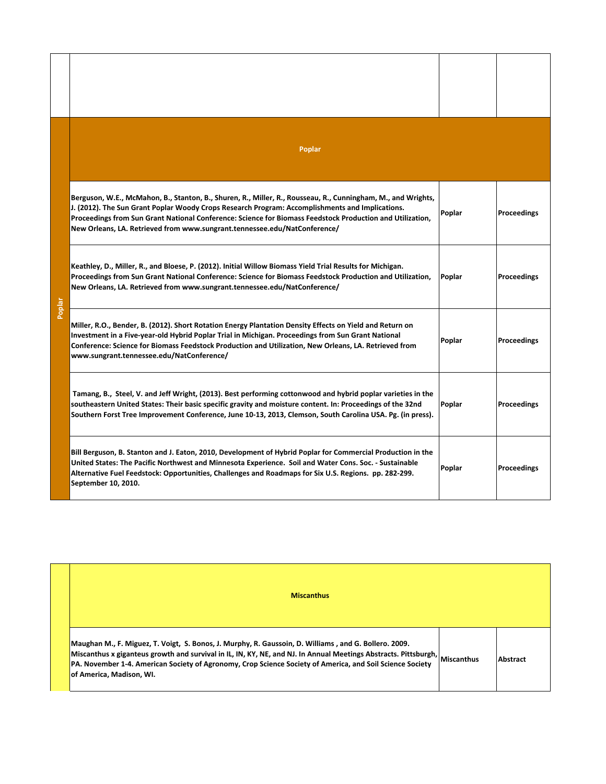|        | Poplar                                                                                                                                                                                                                                                                                                                                                                                                    |        |                    |
|--------|-----------------------------------------------------------------------------------------------------------------------------------------------------------------------------------------------------------------------------------------------------------------------------------------------------------------------------------------------------------------------------------------------------------|--------|--------------------|
|        | Berguson, W.E., McMahon, B., Stanton, B., Shuren, R., Miller, R., Rousseau, R., Cunningham, M., and Wrights,<br>J. (2012). The Sun Grant Poplar Woody Crops Research Program: Accomplishments and Implications.<br>Proceedings from Sun Grant National Conference: Science for Biomass Feedstock Production and Utilization,<br>New Orleans, LA. Retrieved from www.sungrant.tennessee.edu/NatConference/ | Poplar | <b>Proceedings</b> |
| Poplar | Keathley, D., Miller, R., and Bloese, P. (2012). Initial Willow Biomass Yield Trial Results for Michigan.<br>Proceedings from Sun Grant National Conference: Science for Biomass Feedstock Production and Utilization,<br>New Orleans, LA. Retrieved from www.sungrant.tennessee.edu/NatConference/                                                                                                       | Poplar | <b>Proceedings</b> |
|        | Miller, R.O., Bender, B. (2012). Short Rotation Energy Plantation Density Effects on Yield and Return on<br>Investment in a Five-year-old Hybrid Poplar Trial in Michigan. Proceedings from Sun Grant National<br>Conference: Science for Biomass Feedstock Production and Utilization, New Orleans, LA. Retrieved from<br>www.sungrant.tennessee.edu/NatConference/                                      | Poplar | <b>Proceedings</b> |
|        | Tamang, B., Steel, V. and Jeff Wright, (2013). Best performing cottonwood and hybrid poplar varieties in the<br>southeastern United States: Their basic specific gravity and moisture content. In: Proceedings of the 32nd<br>Southern Forst Tree Improvement Conference, June 10-13, 2013, Clemson, South Carolina USA. Pg. (in press).                                                                  | Poplar | <b>Proceedings</b> |
|        | Bill Berguson, B. Stanton and J. Eaton, 2010, Development of Hybrid Poplar for Commercial Production in the<br>United States: The Pacific Northwest and Minnesota Experience. Soil and Water Cons. Soc. - Sustainable<br>Alternative Fuel Feedstock: Opportunities, Challenges and Roadmaps for Six U.S. Regions. pp. 282-299.<br>September 10, 2010.                                                     | Poplar | <b>Proceedings</b> |

| <b>Miscanthus</b>                                                                                                                                                                                                                                                                                                                                                            |          |
|------------------------------------------------------------------------------------------------------------------------------------------------------------------------------------------------------------------------------------------------------------------------------------------------------------------------------------------------------------------------------|----------|
| Maughan M., F. Miguez, T. Voigt, S. Bonos, J. Murphy, R. Gaussoin, D. Williams, and G. Bollero. 2009.<br>Miscanthus x giganteus growth and survival in IL, IN, KY, NE, and NJ. In Annual Meetings Abstracts. Pittsburgh, Miscanthus<br>PA. November 1-4. American Society of Agronomy, Crop Science Society of America, and Soil Science Society<br>of America, Madison, WI. | Abstract |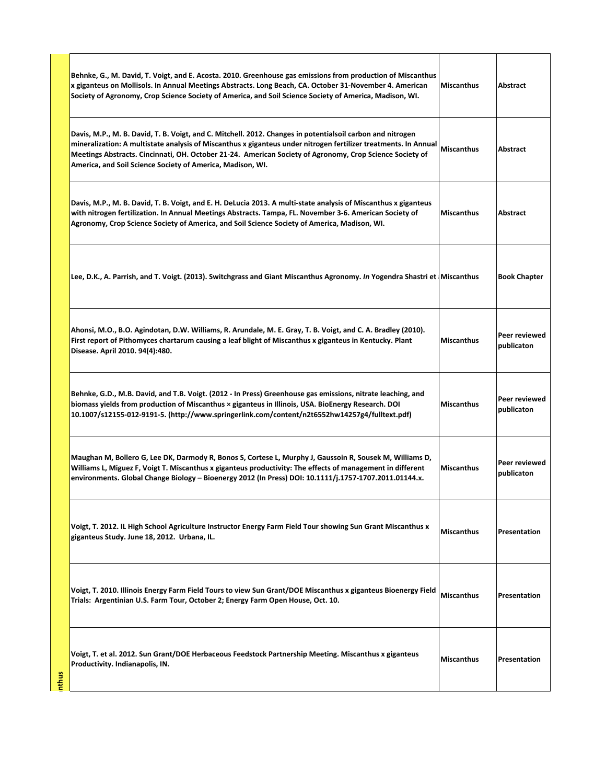| Behnke, G., M. David, T. Voigt, and E. Acosta. 2010. Greenhouse gas emissions from production of Miscanthus<br>x giganteus on Mollisols. In Annual Meetings Abstracts. Long Beach, CA. October 31-November 4. American<br>Society of Agronomy, Crop Science Society of America, and Soil Science Society of America, Madison, WI.                                                                       | Miscanthus        | Abstract                    |
|---------------------------------------------------------------------------------------------------------------------------------------------------------------------------------------------------------------------------------------------------------------------------------------------------------------------------------------------------------------------------------------------------------|-------------------|-----------------------------|
| Davis, M.P., M. B. David, T. B. Voigt, and C. Mitchell. 2012. Changes in potentialsoil carbon and nitrogen<br>mineralization: A multistate analysis of Miscanthus x giganteus under nitrogen fertilizer treatments. In Annual<br>Meetings Abstracts. Cincinnati, OH. October 21-24. American Society of Agronomy, Crop Science Society of<br>America, and Soil Science Society of America, Madison, WI. | <b>Miscanthus</b> | Abstract                    |
| Davis, M.P., M. B. David, T. B. Voigt, and E. H. DeLucia 2013. A multi-state analysis of Miscanthus x giganteus<br>with nitrogen fertilization. In Annual Meetings Abstracts. Tampa, FL. November 3-6. American Society of<br>Agronomy, Crop Science Society of America, and Soil Science Society of America, Madison, WI.                                                                              | <b>Miscanthus</b> | Abstract                    |
| Lee, D.K., A. Parrish, and T. Voigt. (2013). Switchgrass and Giant Miscanthus Agronomy. In Yogendra Shastri et Miscanthus                                                                                                                                                                                                                                                                               |                   | <b>Book Chapter</b>         |
| Ahonsi, M.O., B.O. Agindotan, D.W. Williams, R. Arundale, M. E. Gray, T. B. Voigt, and C. A. Bradley (2010).<br>First report of Pithomyces chartarum causing a leaf blight of Miscanthus x giganteus in Kentucky. Plant<br>Disease. April 2010. 94(4):480.                                                                                                                                              | <b>Miscanthus</b> | Peer reviewed<br>publicaton |
| Behnke, G.D., M.B. David, and T.B. Voigt. (2012 - In Press) Greenhouse gas emissions, nitrate leaching, and<br>biomass yields from production of Miscanthus × giganteus in Illinois, USA. BioEnergy Research. DOI<br>10.1007/s12155-012-9191-5. (http://www.springerlink.com/content/n2t6552hw14257g4/fulltext.pdf)                                                                                     | <b>Miscanthus</b> | Peer reviewed<br>publicaton |
| Maughan M, Bollero G, Lee DK, Darmody R, Bonos S, Cortese L, Murphy J, Gaussoin R, Sousek M, Williams D,<br>Williams L, Miguez F, Voigt T. Miscanthus x giganteus productivity: The effects of management in different<br>environments. Global Change Biology - Bioenergy 2012 (In Press) DOI: 10.1111/j.1757-1707.2011.01144.x.                                                                        | <b>Miscanthus</b> | Peer reviewed<br>publicaton |
| Voigt, T. 2012. IL High School Agriculture Instructor Energy Farm Field Tour showing Sun Grant Miscanthus x<br>giganteus Study. June 18, 2012. Urbana, IL.                                                                                                                                                                                                                                              | <b>Miscanthus</b> | Presentation                |
| Voigt, T. 2010. Illinois Energy Farm Field Tours to view Sun Grant/DOE Miscanthus x giganteus Bioenergy Field<br>Trials: Argentinian U.S. Farm Tour, October 2; Energy Farm Open House, Oct. 10.                                                                                                                                                                                                        | <b>Miscanthus</b> | Presentation                |
| Voigt, T. et al. 2012. Sun Grant/DOE Herbaceous Feedstock Partnership Meeting. Miscanthus x giganteus<br>Productivity. Indianapolis, IN.                                                                                                                                                                                                                                                                | <b>Miscanthus</b> | Presentation                |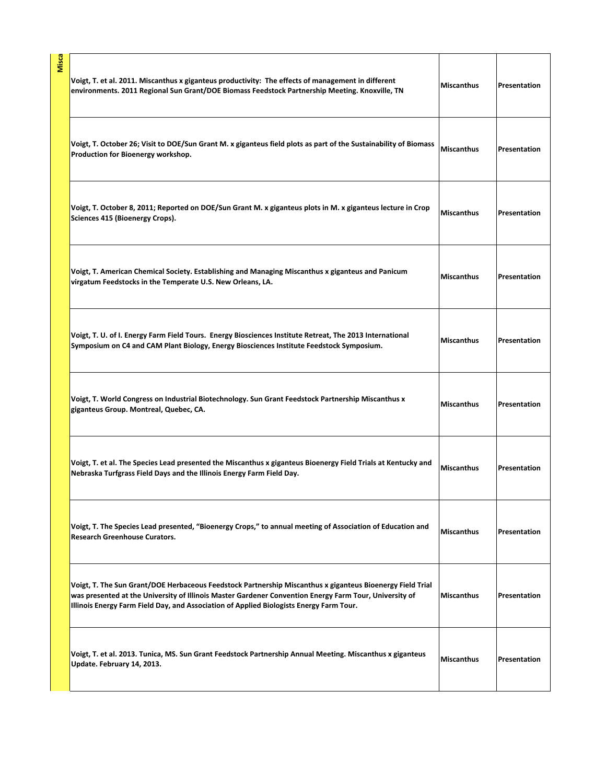| Misca | Voigt, T. et al. 2011. Miscanthus x giganteus productivity: The effects of management in different<br>environments. 2011 Regional Sun Grant/DOE Biomass Feedstock Partnership Meeting. Knoxville, TN                                                                                                           | <b>Miscanthus</b> | Presentation |
|-------|----------------------------------------------------------------------------------------------------------------------------------------------------------------------------------------------------------------------------------------------------------------------------------------------------------------|-------------------|--------------|
|       | Voigt, T. October 26; Visit to DOE/Sun Grant M. x giganteus field plots as part of the Sustainability of Biomass<br>Production for Bioenergy workshop.                                                                                                                                                         | <b>Miscanthus</b> | Presentation |
|       | Voigt, T. October 8, 2011; Reported on DOE/Sun Grant M. x giganteus plots in M. x giganteus lecture in Crop<br>Sciences 415 (Bioenergy Crops).                                                                                                                                                                 | <b>Miscanthus</b> | Presentation |
|       | Voigt, T. American Chemical Society. Establishing and Managing Miscanthus x giganteus and Panicum<br>virgatum Feedstocks in the Temperate U.S. New Orleans, LA.                                                                                                                                                | <b>Miscanthus</b> | Presentation |
|       | Voigt, T. U. of I. Energy Farm Field Tours. Energy Biosciences Institute Retreat, The 2013 International<br>Symposium on C4 and CAM Plant Biology, Energy Biosciences Institute Feedstock Symposium.                                                                                                           | <b>Miscanthus</b> | Presentation |
|       | Voigt, T. World Congress on Industrial Biotechnology. Sun Grant Feedstock Partnership Miscanthus x<br>giganteus Group. Montreal, Quebec, CA.                                                                                                                                                                   | <b>Miscanthus</b> | Presentation |
|       | Voigt, T. et al. The Species Lead presented the Miscanthus x giganteus Bioenergy Field Trials at Kentucky and<br>Nebraska Turfgrass Field Days and the Illinois Energy Farm Field Day.                                                                                                                         | <b>Miscanthus</b> | Presentation |
|       | Voigt, T. The Species Lead presented, "Bioenergy Crops," to annual meeting of Association of Education and<br><b>Research Greenhouse Curators.</b>                                                                                                                                                             | <b>Miscanthus</b> | Presentation |
|       | Voigt, T. The Sun Grant/DOE Herbaceous Feedstock Partnership Miscanthus x giganteus Bioenergy Field Trial<br>was presented at the University of Illinois Master Gardener Convention Energy Farm Tour, University of<br>Illinois Energy Farm Field Day, and Association of Applied Biologists Energy Farm Tour. | <b>Miscanthus</b> | Presentation |
|       | Voigt, T. et al. 2013. Tunica, MS. Sun Grant Feedstock Partnership Annual Meeting. Miscanthus x giganteus<br>Update. February 14, 2013.                                                                                                                                                                        | <b>Miscanthus</b> | Presentation |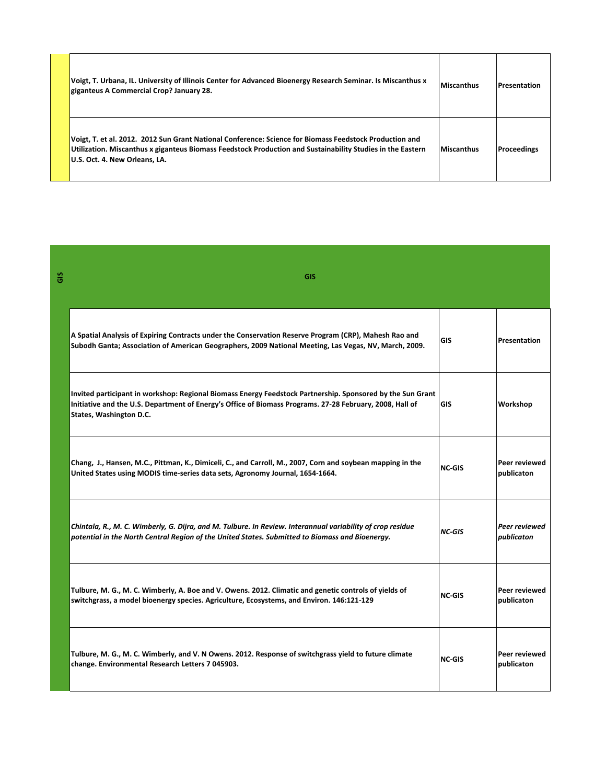| Voigt, T. Urbana, IL. University of Illinois Center for Advanced Bioenergy Research Seminar. Is Miscanthus x<br>giganteus A Commercial Crop? January 28.                                                                                               | Miscanthus | <b>Presentation</b> |
|--------------------------------------------------------------------------------------------------------------------------------------------------------------------------------------------------------------------------------------------------------|------------|---------------------|
| Voigt, T. et al. 2012. 2012 Sun Grant National Conference: Science for Biomass Feedstock Production and<br>Utilization. Miscanthus x giganteus Biomass Feedstock Production and Sustainability Studies in the Eastern<br>U.S. Oct. 4. New Orleans, LA. | Miscanthus | Proceedings         |

| ō | <b>GIS</b>                                                                                                                                                                                                                                        |               |                             |
|---|---------------------------------------------------------------------------------------------------------------------------------------------------------------------------------------------------------------------------------------------------|---------------|-----------------------------|
|   | A Spatial Analysis of Expiring Contracts under the Conservation Reserve Program (CRP), Mahesh Rao and<br>Subodh Ganta; Association of American Geographers, 2009 National Meeting, Las Vegas, NV, March, 2009.                                    | GIS           | Presentation                |
|   | Invited participant in workshop: Regional Biomass Energy Feedstock Partnership. Sponsored by the Sun Grant<br>Initiative and the U.S. Department of Energy's Office of Biomass Programs. 27-28 February, 2008, Hall of<br>States, Washington D.C. | <b>GIS</b>    | Workshop                    |
|   | Chang, J., Hansen, M.C., Pittman, K., Dimiceli, C., and Carroll, M., 2007, Corn and soybean mapping in the<br>United States using MODIS time-series data sets, Agronomy Journal, 1654-1664.                                                       | <b>NC-GIS</b> | Peer reviewed<br>publicaton |
|   | Chintala, R., M. C. Wimberly, G. Dijra, and M. Tulbure. In Review. Interannual variability of crop residue<br>potential in the North Central Region of the United States. Submitted to Biomass and Bioenergy.                                     | <b>NC-GIS</b> | Peer reviewed<br>publicaton |
|   | Tulbure, M. G., M. C. Wimberly, A. Boe and V. Owens. 2012. Climatic and genetic controls of yields of<br>switchgrass, a model bioenergy species. Agriculture, Ecosystems, and Environ. 146:121-129                                                | <b>NC-GIS</b> | Peer reviewed<br>publicaton |
|   | Tulbure, M. G., M. C. Wimberly, and V. N Owens. 2012. Response of switchgrass yield to future climate<br>change. Environmental Research Letters 7 045903.                                                                                         | <b>NC-GIS</b> | Peer reviewed<br>publicaton |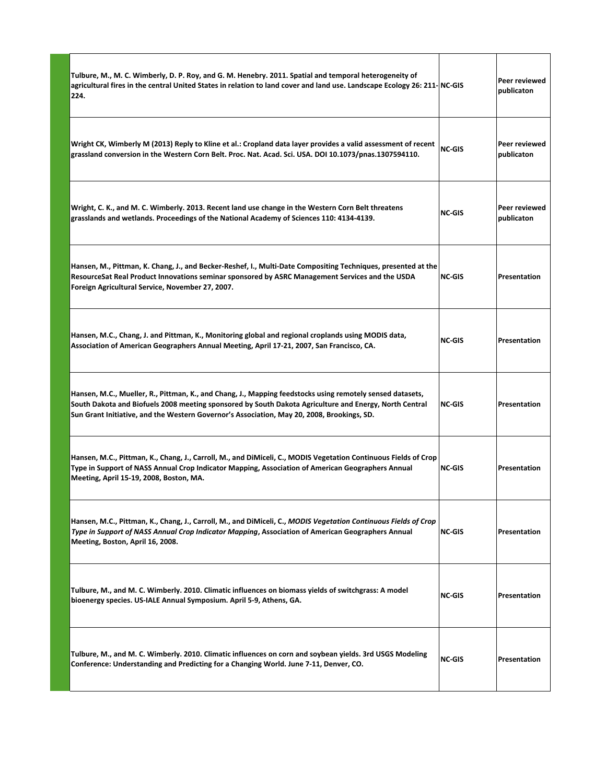| Tulbure, M., M. C. Wimberly, D. P. Roy, and G. M. Henebry. 2011. Spatial and temporal heterogeneity of<br>agricultural fires in the central United States in relation to land cover and land use. Landscape Ecology 26: 211-NC-GIS<br>224.                                                                        |               | Peer reviewed<br>publicaton |
|-------------------------------------------------------------------------------------------------------------------------------------------------------------------------------------------------------------------------------------------------------------------------------------------------------------------|---------------|-----------------------------|
| Wright CK, Wimberly M (2013) Reply to Kline et al.: Cropland data layer provides a valid assessment of recent<br>grassland conversion in the Western Corn Belt. Proc. Nat. Acad. Sci. USA. DOI 10.1073/pnas.1307594110.                                                                                           | <b>NC-GIS</b> | Peer reviewed<br>publicaton |
| Wright, C. K., and M. C. Wimberly. 2013. Recent land use change in the Western Corn Belt threatens<br>grasslands and wetlands. Proceedings of the National Academy of Sciences 110: 4134-4139.                                                                                                                    | <b>NC-GIS</b> | Peer reviewed<br>publicaton |
| Hansen, M., Pittman, K. Chang, J., and Becker-Reshef, I., Multi-Date Compositing Techniques, presented at the<br>ResourceSat Real Product Innovations seminar sponsored by ASRC Management Services and the USDA<br>Foreign Agricultural Service, November 27, 2007.                                              | <b>NC-GIS</b> | <b>Presentation</b>         |
| Hansen, M.C., Chang, J. and Pittman, K., Monitoring global and regional croplands using MODIS data,<br>Association of American Geographers Annual Meeting, April 17-21, 2007, San Francisco, CA.                                                                                                                  | <b>NC-GIS</b> | <b>Presentation</b>         |
| Hansen, M.C., Mueller, R., Pittman, K., and Chang, J., Mapping feedstocks using remotely sensed datasets,<br>South Dakota and Biofuels 2008 meeting sponsored by South Dakota Agriculture and Energy, North Central<br>Sun Grant Initiative, and the Western Governor's Association, May 20, 2008, Brookings, SD. | <b>NC-GIS</b> | Presentation                |
| Hansen, M.C., Pittman, K., Chang, J., Carroll, M., and DiMiceli, C., MODIS Vegetation Continuous Fields of Crop<br>Type in Support of NASS Annual Crop Indicator Mapping, Association of American Geographers Annual<br>Meeting, April 15-19, 2008, Boston, MA.                                                   | <b>NC-GIS</b> | Presentation                |
| Hansen, M.C., Pittman, K., Chang, J., Carroll, M., and DiMiceli, C., MODIS Vegetation Continuous Fields of Crop<br>Type in Support of NASS Annual Crop Indicator Mapping, Association of American Geographers Annual<br>Meeting, Boston, April 16, 2008.                                                          | <b>NC-GIS</b> | Presentation                |
| Tulbure, M., and M. C. Wimberly. 2010. Climatic influences on biomass yields of switchgrass: A model<br>bioenergy species. US-IALE Annual Symposium. April 5-9, Athens, GA.                                                                                                                                       | <b>NC-GIS</b> | Presentation                |
| Tulbure, M., and M. C. Wimberly. 2010. Climatic influences on corn and soybean yields. 3rd USGS Modeling<br>Conference: Understanding and Predicting for a Changing World. June 7-11, Denver, CO.                                                                                                                 | <b>NC-GIS</b> | Presentation                |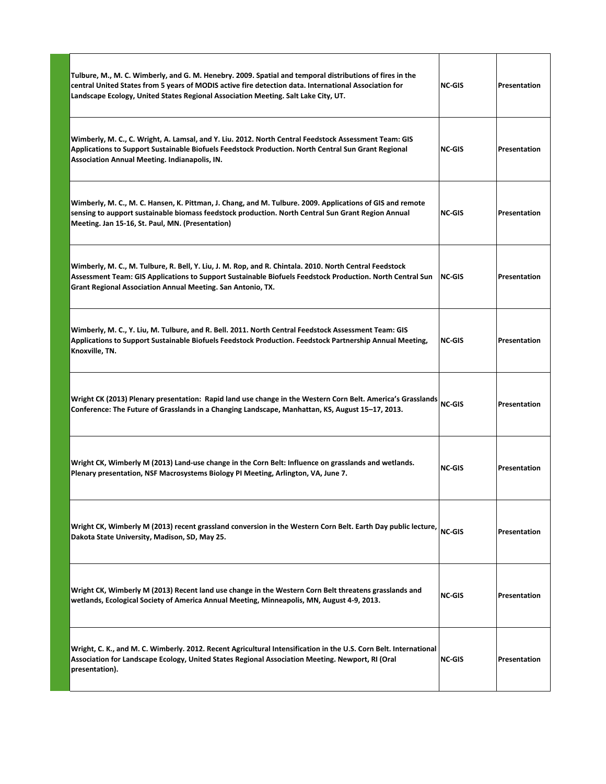| Tulbure, M., M. C. Wimberly, and G. M. Henebry. 2009. Spatial and temporal distributions of fires in the<br>central United States from 5 years of MODIS active fire detection data. International Association for<br>Landscape Ecology, United States Regional Association Meeting. Salt Lake City, UT. | <b>NC-GIS</b> | Presentation        |
|---------------------------------------------------------------------------------------------------------------------------------------------------------------------------------------------------------------------------------------------------------------------------------------------------------|---------------|---------------------|
| Wimberly, M. C., C. Wright, A. Lamsal, and Y. Liu. 2012. North Central Feedstock Assessment Team: GIS<br>Applications to Support Sustainable Biofuels Feedstock Production. North Central Sun Grant Regional<br><b>Association Annual Meeting. Indianapolis, IN.</b>                                    | <b>NC-GIS</b> | Presentation        |
| Wimberly, M. C., M. C. Hansen, K. Pittman, J. Chang, and M. Tulbure. 2009. Applications of GIS and remote<br>sensing to aupport sustainable biomass feedstock production. North Central Sun Grant Region Annual<br>Meeting. Jan 15-16, St. Paul, MN. (Presentation)                                     | <b>NC-GIS</b> | Presentation        |
| Wimberly, M. C., M. Tulbure, R. Bell, Y. Liu, J. M. Rop, and R. Chintala. 2010. North Central Feedstock<br>Assessment Team: GIS Applications to Support Sustainable Biofuels Feedstock Production. North Central Sun<br>Grant Regional Association Annual Meeting. San Antonio, TX.                     | INC-GIS       | Presentation        |
| Wimberly, M. C., Y. Liu, M. Tulbure, and R. Bell. 2011. North Central Feedstock Assessment Team: GIS<br>Applications to Support Sustainable Biofuels Feedstock Production. Feedstock Partnership Annual Meeting,<br>Knoxville, TN.                                                                      | <b>NC-GIS</b> | Presentation        |
| Wright CK (2013) Plenary presentation: Rapid land use change in the Western Corn Belt. America's Grasslands NC-GIS<br>Conference: The Future of Grasslands in a Changing Landscape, Manhattan, KS, August 15–17, 2013.                                                                                  |               | Presentation        |
| Wright CK, Wimberly M (2013) Land-use change in the Corn Belt: Influence on grasslands and wetlands.<br>Plenary presentation, NSF Macrosystems Biology PI Meeting, Arlington, VA, June 7.                                                                                                               | <b>NC-GIS</b> | Presentation        |
| Wright CK, Wimberly M (2013) recent grassland conversion in the Western Corn Belt. Earth Day public lecture,<br>Dakota State University, Madison, SD, May 25.                                                                                                                                           | <b>NC-GIS</b> | <b>Presentation</b> |
| Wright CK, Wimberly M (2013) Recent land use change in the Western Corn Belt threatens grasslands and<br>wetlands, Ecological Society of America Annual Meeting, Minneapolis, MN, August 4-9, 2013.                                                                                                     | <b>NC-GIS</b> | Presentation        |
| Wright, C. K., and M. C. Wimberly. 2012. Recent Agricultural Intensification in the U.S. Corn Belt. International<br>Association for Landscape Ecology, United States Regional Association Meeting. Newport, RI (Oral<br>presentation).                                                                 | NC-GIS        | Presentation        |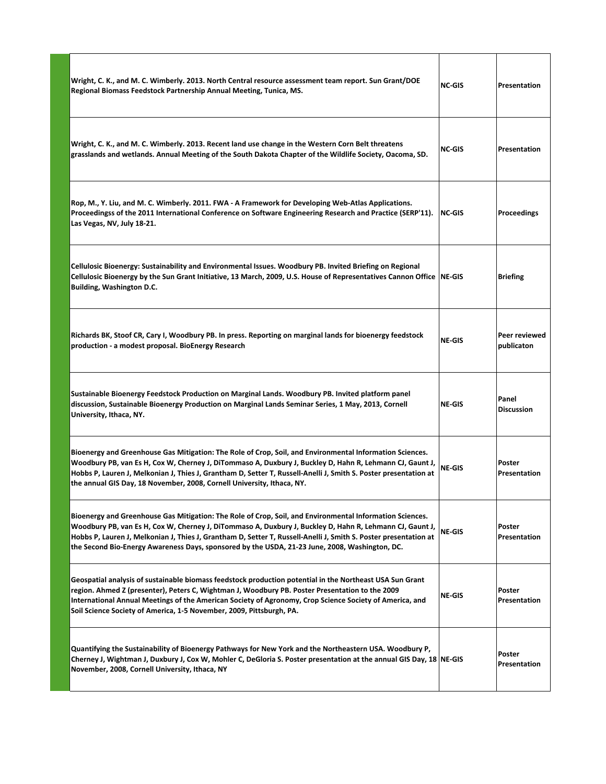| Wright, C. K., and M. C. Wimberly. 2013. North Central resource assessment team report. Sun Grant/DOE<br>Regional Biomass Feedstock Partnership Annual Meeting, Tunica, MS.                                                                                                                                                                                                                                                                | <b>NC-GIS</b> | Presentation                |
|--------------------------------------------------------------------------------------------------------------------------------------------------------------------------------------------------------------------------------------------------------------------------------------------------------------------------------------------------------------------------------------------------------------------------------------------|---------------|-----------------------------|
| Wright, C. K., and M. C. Wimberly. 2013. Recent land use change in the Western Corn Belt threatens<br>grasslands and wetlands. Annual Meeting of the South Dakota Chapter of the Wildlife Society, Oacoma, SD.                                                                                                                                                                                                                             | <b>NC-GIS</b> | <b>Presentation</b>         |
| Rop, M., Y. Liu, and M. C. Wimberly. 2011. FWA - A Framework for Developing Web-Atlas Applications.<br>Proceedingss of the 2011 International Conference on Software Engineering Research and Practice (SERP'11).<br>Las Vegas, NV, July 18-21.                                                                                                                                                                                            | NC-GIS        | Proceedings                 |
| Cellulosic Bioenergy: Sustainability and Environmental Issues. Woodbury PB. Invited Briefing on Regional<br>Cellulosic Bioenergy by the Sun Grant Initiative, 13 March, 2009, U.S. House of Representatives Cannon Office NE-GIS<br><b>Building, Washington D.C.</b>                                                                                                                                                                       |               | <b>Briefing</b>             |
| Richards BK, Stoof CR, Cary I, Woodbury PB. In press. Reporting on marginal lands for bioenergy feedstock<br>production - a modest proposal. BioEnergy Research                                                                                                                                                                                                                                                                            | <b>NE-GIS</b> | Peer reviewed<br>publicaton |
| Sustainable Bioenergy Feedstock Production on Marginal Lands. Woodbury PB. Invited platform panel<br>discussion, Sustainable Bioenergy Production on Marginal Lands Seminar Series, 1 May, 2013, Cornell<br>University, Ithaca, NY.                                                                                                                                                                                                        | <b>NE-GIS</b> | Panel<br><b>Discussion</b>  |
| Bioenergy and Greenhouse Gas Mitigation: The Role of Crop, Soil, and Environmental Information Sciences.<br>Woodbury PB, van Es H, Cox W, Cherney J, DiTommaso A, Duxbury J, Buckley D, Hahn R, Lehmann CJ, Gaunt J,<br>Hobbs P, Lauren J, Melkonian J, Thies J, Grantham D, Setter T, Russell-Anelli J, Smith S. Poster presentation at<br>the annual GIS Day, 18 November, 2008, Cornell University, Ithaca, NY.                         | <b>NE-GIS</b> | Poster<br>Presentation      |
| Bioenergy and Greenhouse Gas Mitigation: The Role of Crop, Soil, and Environmental Information Sciences.<br>Woodbury PB, van Es H, Cox W, Cherney J, DiTommaso A, Duxbury J, Buckley D, Hahn R, Lehmann CJ, Gaunt J,<br>Hobbs P, Lauren J, Melkonian J, Thies J, Grantham D, Setter T, Russell-Anelli J, Smith S. Poster presentation at<br>the Second Bio-Energy Awareness Days, sponsored by the USDA, 21-23 June, 2008, Washington, DC. | NE-GIS        | Poster<br>Presentation      |
| Geospatial analysis of sustainable biomass feedstock production potential in the Northeast USA Sun Grant<br>region. Ahmed Z (presenter), Peters C, Wightman J, Woodbury PB. Poster Presentation to the 2009<br>International Annual Meetings of the American Society of Agronomy, Crop Science Society of America, and<br>Soil Science Society of America, 1-5 November, 2009, Pittsburgh, PA.                                             | <b>NE-GIS</b> | Poster<br>Presentation      |
| Quantifying the Sustainability of Bioenergy Pathways for New York and the Northeastern USA. Woodbury P,<br>Cherney J, Wightman J, Duxbury J, Cox W, Mohler C, DeGloria S. Poster presentation at the annual GIS Day, 18 NE-GIS<br>November, 2008, Cornell University, Ithaca, NY                                                                                                                                                           |               | Poster<br>Presentation      |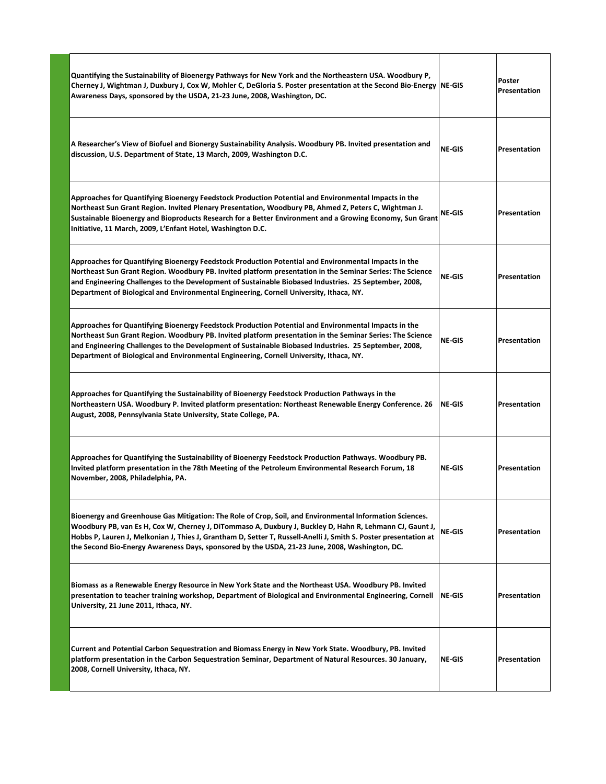| Quantifying the Sustainability of Bioenergy Pathways for New York and the Northeastern USA. Woodbury P,<br>Cherney J, Wightman J, Duxbury J, Cox W, Mohler C, DeGloria S. Poster presentation at the Second Bio-Energy NE-GIS<br>Awareness Days, sponsored by the USDA, 21-23 June, 2008, Washington, DC.                                                                                                                                  |               | Poster<br>Presentation |
|--------------------------------------------------------------------------------------------------------------------------------------------------------------------------------------------------------------------------------------------------------------------------------------------------------------------------------------------------------------------------------------------------------------------------------------------|---------------|------------------------|
| A Researcher's View of Biofuel and Bionergy Sustainability Analysis. Woodbury PB. Invited presentation and<br>discussion, U.S. Department of State, 13 March, 2009, Washington D.C.                                                                                                                                                                                                                                                        | <b>NE-GIS</b> | <b>Presentation</b>    |
| Approaches for Quantifying Bioenergy Feedstock Production Potential and Environmental Impacts in the<br>Northeast Sun Grant Region. Invited Plenary Presentation, Woodbury PB, Ahmed Z, Peters C, Wightman J.<br>Sustainable Bioenergy and Bioproducts Research for a Better Environment and a Growing Economy, Sun Grant<br>Initiative, 11 March, 2009, L'Enfant Hotel, Washington D.C.                                                   | <b>NE-GIS</b> | Presentation           |
| Approaches for Quantifying Bioenergy Feedstock Production Potential and Environmental Impacts in the<br>Northeast Sun Grant Region. Woodbury PB. Invited platform presentation in the Seminar Series: The Science<br>and Engineering Challenges to the Development of Sustainable Biobased Industries. 25 September, 2008,<br>Department of Biological and Environmental Engineering, Cornell University, Ithaca, NY.                      | <b>NE-GIS</b> | <b>Presentation</b>    |
| Approaches for Quantifying Bioenergy Feedstock Production Potential and Environmental Impacts in the<br>Northeast Sun Grant Region. Woodbury PB. Invited platform presentation in the Seminar Series: The Science<br>and Engineering Challenges to the Development of Sustainable Biobased Industries. 25 September, 2008,<br>Department of Biological and Environmental Engineering, Cornell University, Ithaca, NY.                      | <b>NE-GIS</b> | <b>Presentation</b>    |
| Approaches for Quantifying the Sustainability of Bioenergy Feedstock Production Pathways in the<br>Northeastern USA. Woodbury P. Invited platform presentation: Northeast Renewable Energy Conference. 26<br>August, 2008, Pennsylvania State University, State College, PA.                                                                                                                                                               | NE-GIS        | <b>Presentation</b>    |
| Approaches for Quantifying the Sustainability of Bioenergy Feedstock Production Pathways. Woodbury PB.<br>Invited platform presentation in the 78th Meeting of the Petroleum Environmental Research Forum, 18<br>November, 2008, Philadelphia, PA.                                                                                                                                                                                         | <b>NE-GIS</b> | Presentation           |
| Bioenergy and Greenhouse Gas Mitigation: The Role of Crop, Soil, and Environmental Information Sciences.<br>Woodbury PB, van Es H, Cox W, Cherney J, DiTommaso A, Duxbury J, Buckley D, Hahn R, Lehmann CJ, Gaunt J,<br>Hobbs P, Lauren J, Melkonian J, Thies J, Grantham D, Setter T, Russell-Anelli J, Smith S. Poster presentation at<br>the Second Bio-Energy Awareness Days, sponsored by the USDA, 21-23 June, 2008, Washington, DC. | <b>NE-GIS</b> | Presentation           |
| Biomass as a Renewable Energy Resource in New York State and the Northeast USA. Woodbury PB. Invited<br>presentation to teacher training workshop, Department of Biological and Environmental Engineering, Cornell<br>University, 21 June 2011, Ithaca, NY.                                                                                                                                                                                | NE-GIS        | Presentation           |
| Current and Potential Carbon Sequestration and Biomass Energy in New York State. Woodbury, PB. Invited<br>platform presentation in the Carbon Sequestration Seminar, Department of Natural Resources. 30 January,<br>2008, Cornell University, Ithaca, NY.                                                                                                                                                                                 | <b>NE-GIS</b> | Presentation           |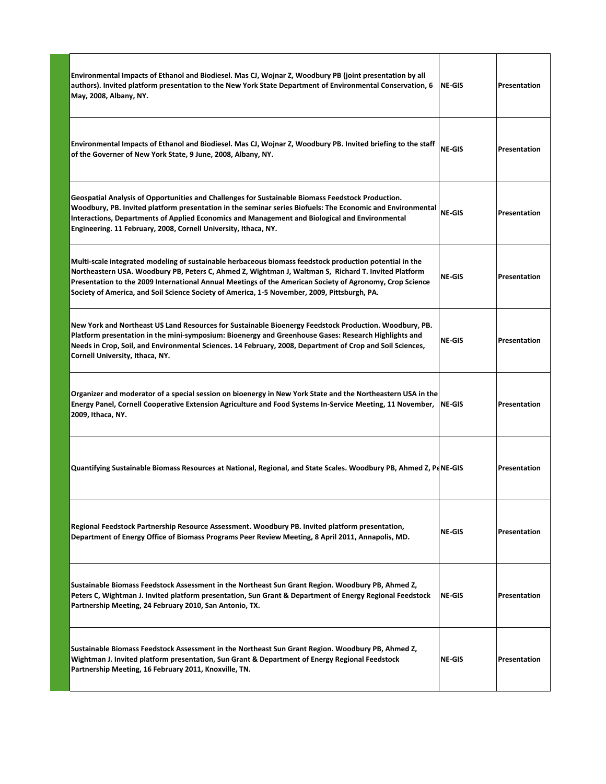| Environmental Impacts of Ethanol and Biodiesel. Mas CJ, Wojnar Z, Woodbury PB (joint presentation by all<br>authors). Invited platform presentation to the New York State Department of Environmental Conservation, 6  NE-GIS<br>May, 2008, Albany, NY.                                                                                                                                                                     |               | Presentation |
|-----------------------------------------------------------------------------------------------------------------------------------------------------------------------------------------------------------------------------------------------------------------------------------------------------------------------------------------------------------------------------------------------------------------------------|---------------|--------------|
| <b>Environmental Impacts of Ethanol and Biodiesel. Mas CJ, Wojnar Z, Woodbury PB. Invited briefing to the staff</b><br>of the Governer of New York State, 9 June, 2008, Albany, NY.                                                                                                                                                                                                                                         | NE-GIS        | Presentation |
| Geospatial Analysis of Opportunities and Challenges for Sustainable Biomass Feedstock Production.<br>Woodbury, PB. Invited platform presentation in the seminar series Biofuels: The Economic and Environmental<br>Interactions, Departments of Applied Economics and Management and Biological and Environmental<br>Engineering. 11 February, 2008, Cornell University, Ithaca, NY.                                        | NE-GIS        | Presentation |
| Multi-scale integrated modeling of sustainable herbaceous biomass feedstock production potential in the<br>Northeastern USA. Woodbury PB, Peters C, Ahmed Z, Wightman J, Waltman S, Richard T. Invited Platform<br>Presentation to the 2009 International Annual Meetings of the American Society of Agronomy, Crop Science<br>Society of America, and Soil Science Society of America, 1-5 November, 2009, Pittsburgh, PA. | NE-GIS        | Presentation |
| New York and Northeast US Land Resources for Sustainable Bioenergy Feedstock Production. Woodbury, PB.<br>Platform presentation in the mini-symposium: Bioenergy and Greenhouse Gases: Research Highlights and<br>Needs in Crop, Soil, and Environmental Sciences. 14 February, 2008, Department of Crop and Soil Sciences,<br>Cornell University, Ithaca, NY.                                                              | NE-GIS        | Presentation |
| Organizer and moderator of a special session on bioenergy in New York State and the Northeastern USA in the<br> Energy Panel, Cornell Cooperative Extension Agriculture and Food Systems In-Service Meeting, 11 November,  NE-GIS<br>2009, Ithaca, NY.                                                                                                                                                                      |               | Presentation |
| Quantifying Sustainable Biomass Resources at National, Regional, and State Scales. Woodbury PB, Ahmed Z, PdNE-GIS                                                                                                                                                                                                                                                                                                           |               | Presentation |
| Regional Feedstock Partnership Resource Assessment. Woodbury PB. Invited platform presentation,<br>Department of Energy Office of Biomass Programs Peer Review Meeting, 8 April 2011, Annapolis, MD.                                                                                                                                                                                                                        | NE-GIS        | Presentation |
| Sustainable Biomass Feedstock Assessment in the Northeast Sun Grant Region. Woodbury PB, Ahmed Z,<br>Peters C, Wightman J. Invited platform presentation, Sun Grant & Department of Energy Regional Feedstock<br>Partnership Meeting, 24 February 2010, San Antonio, TX.                                                                                                                                                    | <b>NE-GIS</b> | Presentation |
| Sustainable Biomass Feedstock Assessment in the Northeast Sun Grant Region. Woodbury PB, Ahmed Z,<br>Wightman J. Invited platform presentation, Sun Grant & Department of Energy Regional Feedstock<br>Partnership Meeting, 16 February 2011, Knoxville, TN.                                                                                                                                                                | <b>NE-GIS</b> | Presentation |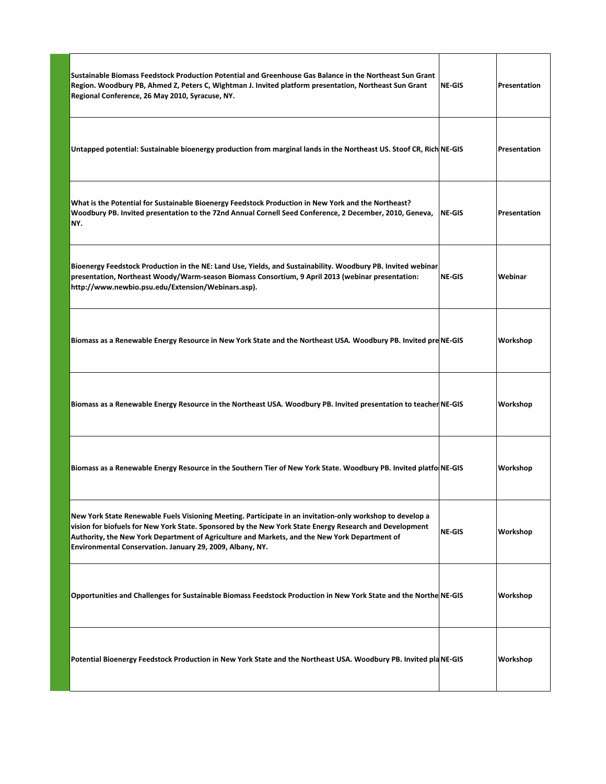| Sustainable Biomass Feedstock Production Potential and Greenhouse Gas Balance in the Northeast Sun Grant<br>Region. Woodbury PB, Ahmed Z, Peters C, Wightman J. Invited platform presentation, Northeast Sun Grant   NE-GIS<br>Regional Conference, 26 May 2010, Syracuse, NY.                                                                                                     |          | Presentation |
|------------------------------------------------------------------------------------------------------------------------------------------------------------------------------------------------------------------------------------------------------------------------------------------------------------------------------------------------------------------------------------|----------|--------------|
| Untapped potential: Sustainable bioenergy production from marginal lands in the Northeast US. Stoof CR, Rich NE-GIS                                                                                                                                                                                                                                                                |          | Presentation |
| What is the Potential for Sustainable Bioenergy Feedstock Production in New York and the Northeast?<br>Woodbury PB. Invited presentation to the 72nd Annual Cornell Seed Conference, 2 December, 2010, Geneva, NE-GIS<br>NY.                                                                                                                                                       |          | Presentation |
| Bioenergy Feedstock Production in the NE: Land Use, Yields, and Sustainability. Woodbury PB. Invited webinar<br>presentation, Northeast Woody/Warm-season Biomass Consortium, 9 April 2013 (webinar presentation:<br>http://www.newbio.psu.edu/Extension/Webinars.asp).                                                                                                            | $NE-GIS$ | Webinar      |
| Biomass as a Renewable Energy Resource in New York State and the Northeast USA. Woodbury PB. Invited pre NE-GIS                                                                                                                                                                                                                                                                    |          | Workshop     |
| Biomass as a Renewable Energy Resource in the Northeast USA. Woodbury PB. Invited presentation to teacher NE-GIS                                                                                                                                                                                                                                                                   |          | Workshop     |
| Biomass as a Renewable Energy Resource in the Southern Tier of New York State. Woodbury PB. Invited platfo NE-GIS                                                                                                                                                                                                                                                                  |          | Workshop     |
| New York State Renewable Fuels Visioning Meeting. Participate in an invitation-only workshop to develop a<br>vision for biofuels for New York State. Sponsored by the New York State Energy Research and Development<br>Authority, the New York Department of Agriculture and Markets, and the New York Department of<br>Environmental Conservation. January 29, 2009, Albany, NY. | $NE-GIS$ | Workshop     |
| Opportunities and Challenges for Sustainable Biomass Feedstock Production in New York State and the Northe NE-GIS                                                                                                                                                                                                                                                                  |          | Workshop     |
| Potential Bioenergy Feedstock Production in New York State and the Northeast USA. Woodbury PB. Invited plaNE-GIS                                                                                                                                                                                                                                                                   |          | Workshop     |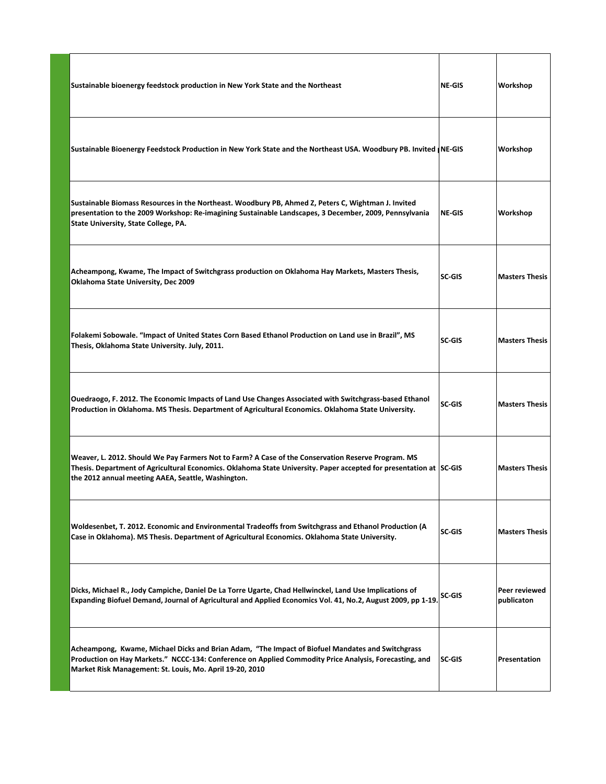| Sustainable bioenergy feedstock production in New York State and the Northeast                                                                                                                                                                                                 | <b>NE-GIS</b> | Workshop                    |
|--------------------------------------------------------------------------------------------------------------------------------------------------------------------------------------------------------------------------------------------------------------------------------|---------------|-----------------------------|
| Sustainable Bioenergy Feedstock Production in New York State and the Northeast USA. Woodbury PB. Invited  NE-GIS                                                                                                                                                               |               | Workshop                    |
| Sustainable Biomass Resources in the Northeast. Woodbury PB, Ahmed Z, Peters C, Wightman J. Invited<br>presentation to the 2009 Workshop: Re-imagining Sustainable Landscapes, 3 December, 2009, Pennsylvania<br>State University, State College, PA.                          | NE-GIS        | Workshop                    |
| Acheampong, Kwame, The Impact of Switchgrass production on Oklahoma Hay Markets, Masters Thesis,<br>Oklahoma State University, Dec 2009                                                                                                                                        | SC-GIS        | <b>Masters Thesis</b>       |
| Folakemi Sobowale. "Impact of United States Corn Based Ethanol Production on Land use in Brazil", MS<br>Thesis, Oklahoma State University. July, 2011.                                                                                                                         | SC-GIS        | <b>Masters Thesis</b>       |
| Ouedraogo, F. 2012. The Economic Impacts of Land Use Changes Associated with Switchgrass-based Ethanol<br>Production in Oklahoma. MS Thesis. Department of Agricultural Economics. Oklahoma State University.                                                                  | SC-GIS        | <b>Masters Thesis</b>       |
| Weaver, L. 2012. Should We Pay Farmers Not to Farm? A Case of the Conservation Reserve Program. MS<br>Thesis. Department of Agricultural Economics. Oklahoma State University. Paper accepted for presentation at SC-GIS<br>the 2012 annual meeting AAEA, Seattle, Washington. |               | <b>Masters Thesis</b>       |
| Woldesenbet, T. 2012. Economic and Environmental Tradeoffs from Switchgrass and Ethanol Production (A<br>Case in Oklahoma). MS Thesis. Department of Agricultural Economics. Oklahoma State University.                                                                        | SC-GIS        | <b>Masters Thesis</b>       |
| Dicks, Michael R., Jody Campiche, Daniel De La Torre Ugarte, Chad Hellwinckel, Land Use Implications of<br>Expanding Biofuel Demand, Journal of Agricultural and Applied Economics Vol. 41, No.2, August 2009, pp 1-19                                                         | SC-GIS        | Peer reviewed<br>publicaton |
| Acheampong, Kwame, Michael Dicks and Brian Adam, "The Impact of Biofuel Mandates and Switchgrass<br>Production on Hay Markets." NCCC-134: Conference on Applied Commodity Price Analysis, Forecasting, and<br>Market Risk Management: St. Louis, Mo. April 19-20, 2010         | $ SC-GIS $    | Presentation                |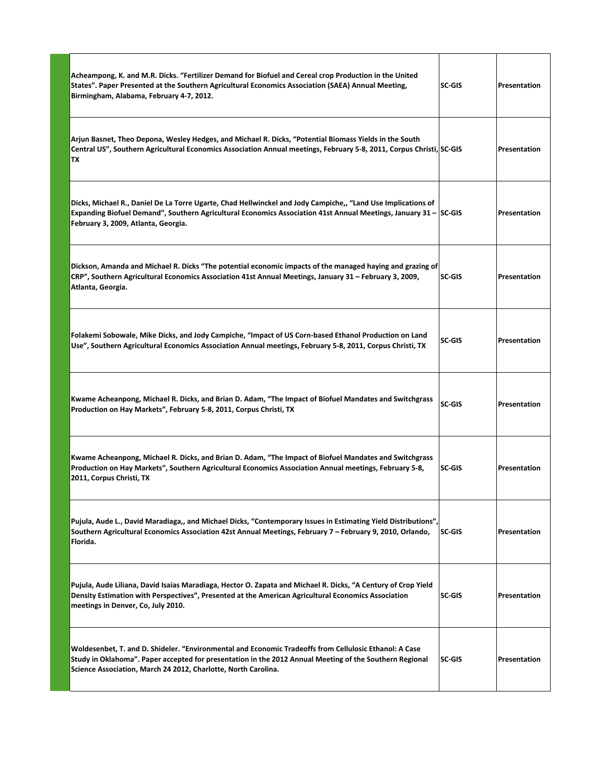| Acheampong, K. and M.R. Dicks. "Fertilizer Demand for Biofuel and Cereal crop Production in the United<br>States". Paper Presented at the Southern Agricultural Economics Association (SAEA) Annual Meeting,<br>Birmingham, Alabama, February 4-7, 2012.                            | <b>SC-GIS</b> | <b>Presentation</b> |
|-------------------------------------------------------------------------------------------------------------------------------------------------------------------------------------------------------------------------------------------------------------------------------------|---------------|---------------------|
| Arjun Basnet, Theo Depona, Wesley Hedges, and Michael R. Dicks, "Potential Biomass Yields in the South<br>Central US", Southern Agricultural Economics Association Annual meetings, February 5-8, 2011, Corpus Christi, SC-GIS<br>TX                                                |               | Presentation        |
| Dicks, Michael R., Daniel De La Torre Ugarte, Chad Hellwinckel and Jody Campiche,, "Land Use Implications of<br>Expanding Biofuel Demand", Southern Agricultural Economics Association 41st Annual Meetings, January 31 - SC-GIS<br>February 3, 2009, Atlanta, Georgia.             |               | <b>Presentation</b> |
| Dickson, Amanda and Michael R. Dicks "The potential economic impacts of the managed haying and grazing of<br>CRP", Southern Agricultural Economics Association 41st Annual Meetings, January 31 - February 3, 2009,<br>Atlanta, Georgia.                                            | <b>SC-GIS</b> | <b>Presentation</b> |
| Folakemi Sobowale, Mike Dicks, and Jody Campiche, "Impact of US Corn-based Ethanol Production on Land<br>Use", Southern Agricultural Economics Association Annual meetings, February 5-8, 2011, Corpus Christi, TX                                                                  | <b>SC-GIS</b> | Presentation        |
| Kwame Acheanpong, Michael R. Dicks, and Brian D. Adam, "The Impact of Biofuel Mandates and Switchgrass<br>Production on Hay Markets", February 5-8, 2011, Corpus Christi, TX                                                                                                        | SC-GIS        | Presentation        |
| Kwame Acheanpong, Michael R. Dicks, and Brian D. Adam, "The Impact of Biofuel Mandates and Switchgrass<br>Production on Hay Markets", Southern Agricultural Economics Association Annual meetings, February 5-8,<br>2011, Corpus Christi, TX                                        | <b>SC-GIS</b> | Presentation        |
| Pujula, Aude L., David Maradiaga,, and Michael Dicks, "Contemporary Issues in Estimating Yield Distributions",<br>Southern Agricultural Economics Association 42st Annual Meetings, February 7 - February 9, 2010, Orlando,<br>Florida.                                             | SC-GIS        | Presentation        |
| Pujula, Aude Liliana, David Isaias Maradiaga, Hector O. Zapata and Michael R. Dicks, "A Century of Crop Yield<br>Density Estimation with Perspectives", Presented at the American Agricultural Economics Association<br>meetings in Denver, Co, July 2010.                          | <b>SC-GIS</b> | Presentation        |
| Woldesenbet, T. and D. Shideler. "Environmental and Economic Tradeoffs from Cellulosic Ethanol: A Case<br>Study in Oklahoma". Paper accepted for presentation in the 2012 Annual Meeting of the Southern Regional<br>Science Association, March 24 2012, Charlotte, North Carolina. | SC-GIS        | Presentation        |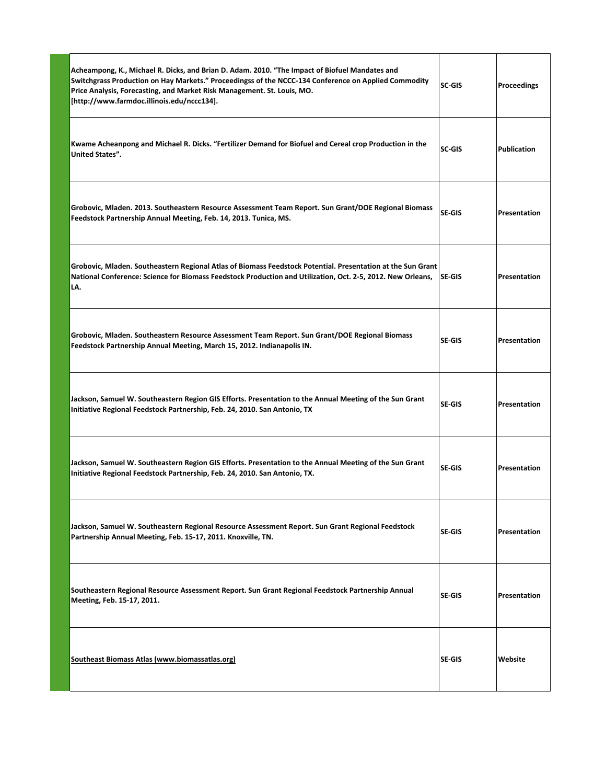| Acheampong, K., Michael R. Dicks, and Brian D. Adam. 2010. "The Impact of Biofuel Mandates and<br>Switchgrass Production on Hay Markets." Proceedingss of the NCCC-134 Conference on Applied Commodity<br>Price Analysis, Forecasting, and Market Risk Management. St. Louis, MO.<br>[http://www.farmdoc.illinois.edu/nccc134]. | SC-GIS        | Proceedings         |
|---------------------------------------------------------------------------------------------------------------------------------------------------------------------------------------------------------------------------------------------------------------------------------------------------------------------------------|---------------|---------------------|
| Kwame Acheanpong and Michael R. Dicks. "Fertilizer Demand for Biofuel and Cereal crop Production in the<br><b>United States".</b>                                                                                                                                                                                               | SC-GIS        | <b>Publication</b>  |
| Grobovic, Mladen. 2013. Southeastern Resource Assessment Team Report. Sun Grant/DOE Regional Biomass<br>Feedstock Partnership Annual Meeting, Feb. 14, 2013. Tunica, MS.                                                                                                                                                        | SE-GIS        | Presentation        |
| Grobovic, Mladen. Southeastern Regional Atlas of Biomass Feedstock Potential. Presentation at the Sun Grant<br>National Conference: Science for Biomass Feedstock Production and Utilization, Oct. 2-5, 2012. New Orleans,<br>LA.                                                                                               | ISE-GIS       | <b>Presentation</b> |
| Grobovic, Mladen. Southeastern Resource Assessment Team Report. Sun Grant/DOE Regional Biomass<br>Feedstock Partnership Annual Meeting, March 15, 2012. Indianapolis IN.                                                                                                                                                        | SE-GIS        | <b>Presentation</b> |
| Jackson, Samuel W. Southeastern Region GIS Efforts. Presentation to the Annual Meeting of the Sun Grant<br>Initiative Regional Feedstock Partnership, Feb. 24, 2010. San Antonio, TX                                                                                                                                            | SE-GIS        | Presentation        |
| Jackson, Samuel W. Southeastern Region GIS Efforts. Presentation to the Annual Meeting of the Sun Grant<br>Initiative Regional Feedstock Partnership, Feb. 24, 2010. San Antonio, TX.                                                                                                                                           | SE-GIS        | Presentation        |
| Jackson, Samuel W. Southeastern Regional Resource Assessment Report. Sun Grant Regional Feedstock<br>Partnership Annual Meeting, Feb. 15-17, 2011. Knoxville, TN.                                                                                                                                                               | <b>SE-GIS</b> | Presentation        |
| Southeastern Regional Resource Assessment Report. Sun Grant Regional Feedstock Partnership Annual<br>Meeting, Feb. 15-17, 2011.                                                                                                                                                                                                 | SE-GIS        | Presentation        |
| Southeast Biomass Atlas (www.biomassatlas.org)                                                                                                                                                                                                                                                                                  | SE-GIS        | Website             |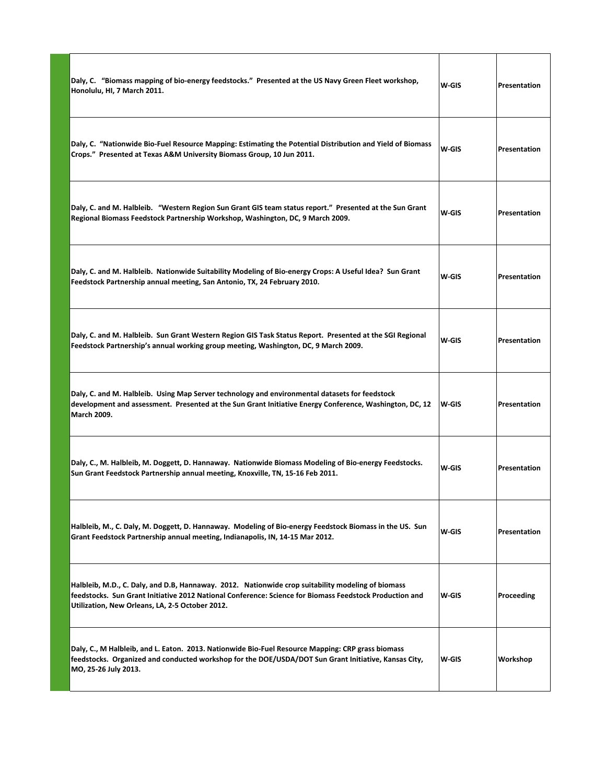| Daly, C. "Biomass mapping of bio-energy feedstocks." Presented at the US Navy Green Fleet workshop,<br>Honolulu, HI, 7 March 2011.                                                                                                                              | W-GIS | Presentation        |
|-----------------------------------------------------------------------------------------------------------------------------------------------------------------------------------------------------------------------------------------------------------------|-------|---------------------|
| Daly, C. "Nationwide Bio-Fuel Resource Mapping: Estimating the Potential Distribution and Yield of Biomass<br>Crops." Presented at Texas A&M University Biomass Group, 10 Jun 2011.                                                                             | W-GIS | Presentation        |
| Daly, C. and M. Halbleib. "Western Region Sun Grant GIS team status report." Presented at the Sun Grant<br>Regional Biomass Feedstock Partnership Workshop, Washington, DC, 9 March 2009.                                                                       | W-GIS | Presentation        |
| Daly, C. and M. Halbleib. Nationwide Suitability Modeling of Bio-energy Crops: A Useful Idea? Sun Grant<br>Feedstock Partnership annual meeting, San Antonio, TX, 24 February 2010.                                                                             | W-GIS | Presentation        |
| Daly, C. and M. Halbleib. Sun Grant Western Region GIS Task Status Report. Presented at the SGI Regional<br>Feedstock Partnership's annual working group meeting, Washington, DC, 9 March 2009.                                                                 | W-GIS | <b>Presentation</b> |
| Daly, C. and M. Halbleib. Using Map Server technology and environmental datasets for feedstock<br>development and assessment. Presented at the Sun Grant Initiative Energy Conference, Washington, DC, 12<br>March 2009.                                        | W-GIS | Presentation        |
| Daly, C., M. Halbleib, M. Doggett, D. Hannaway. Nationwide Biomass Modeling of Bio-energy Feedstocks.<br>Sun Grant Feedstock Partnership annual meeting, Knoxville, TN, 15-16 Feb 2011.                                                                         | W-GIS | Presentation        |
| Halbleib, M., C. Daly, M. Doggett, D. Hannaway. Modeling of Bio-energy Feedstock Biomass in the US. Sun<br>Grant Feedstock Partnership annual meeting, Indianapolis, IN, 14-15 Mar 2012.                                                                        | W-GIS | Presentation        |
| Halbleib, M.D., C. Daly, and D.B, Hannaway. 2012. Nationwide crop suitability modeling of biomass<br>feedstocks. Sun Grant Initiative 2012 National Conference: Science for Biomass Feedstock Production and<br>Utilization, New Orleans, LA, 2-5 October 2012. | W-GIS | Proceeding          |
| Daly, C., M Halbleib, and L. Eaton. 2013. Nationwide Bio-Fuel Resource Mapping: CRP grass biomass<br>feedstocks. Organized and conducted workshop for the DOE/USDA/DOT Sun Grant Initiative, Kansas City,<br>MO, 25-26 July 2013.                               | W-GIS | Workshop            |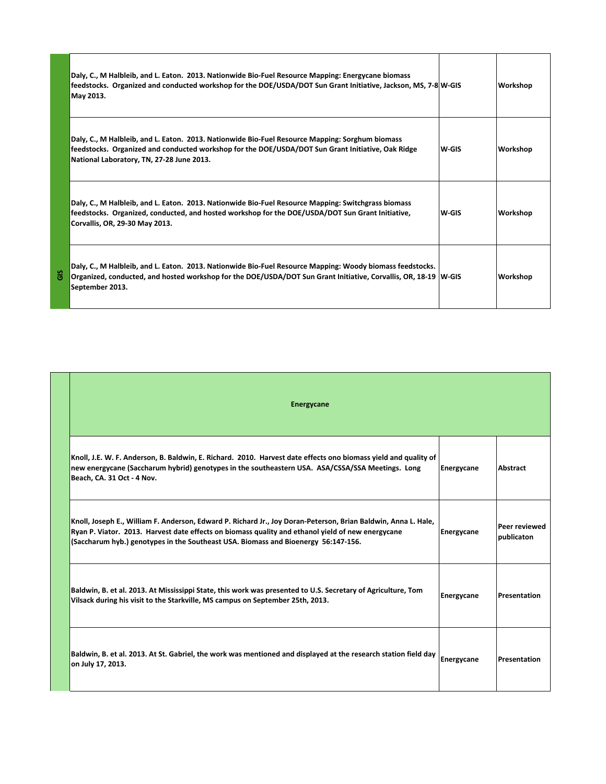|   | Daly, C., M Halbleib, and L. Eaton. 2013. Nationwide Bio-Fuel Resource Mapping: Energycane biomass<br>feedstocks. Organized and conducted workshop for the DOE/USDA/DOT Sun Grant Initiative, Jackson, MS, 7-8 W-GIS<br>May 2013.                 |        | Workshop |
|---|---------------------------------------------------------------------------------------------------------------------------------------------------------------------------------------------------------------------------------------------------|--------|----------|
|   | Daly, C., M Halbleib, and L. Eaton. 2013. Nationwide Bio-Fuel Resource Mapping: Sorghum biomass<br>feedstocks. Organized and conducted workshop for the DOE/USDA/DOT Sun Grant Initiative, Oak Ridge<br>National Laboratory, TN, 27-28 June 2013. | lw-GIS | Workshop |
|   | Daly, C., M Halbleib, and L. Eaton. 2013. Nationwide Bio-Fuel Resource Mapping: Switchgrass biomass<br>feedstocks. Organized, conducted, and hosted workshop for the DOE/USDA/DOT Sun Grant Initiative,<br>Corvallis, OR, 29-30 May 2013.         | lw-GIS | Workshop |
| ះ | Daly, C., M Halbleib, and L. Eaton. 2013. Nationwide Bio-Fuel Resource Mapping: Woody biomass feedstocks.<br>Organized, conducted, and hosted workshop for the DOE/USDA/DOT Sun Grant Initiative, Corvallis, OR, 18-19  W-GIS<br>September 2013.  |        | Workshop |

| <b>Energycane</b>                                                                                                                                                                                                                                                                                         |            |                                    |
|-----------------------------------------------------------------------------------------------------------------------------------------------------------------------------------------------------------------------------------------------------------------------------------------------------------|------------|------------------------------------|
| Knoll, J.E. W. F. Anderson, B. Baldwin, E. Richard. 2010. Harvest date effects ono biomass yield and quality of<br>new energycane (Saccharum hybrid) genotypes in the southeastern USA. ASA/CSSA/SSA Meetings. Long<br>Beach, CA. 31 Oct - 4 Nov.                                                         | Energycane | Abstract                           |
| Knoll, Joseph E., William F. Anderson, Edward P. Richard Jr., Joy Doran-Peterson, Brian Baldwin, Anna L. Hale,<br>Ryan P. Viator. 2013. Harvest date effects on biomass quality and ethanol yield of new energycane<br>(Saccharum hyb.) genotypes in the Southeast USA. Biomass and Bioenergy 56:147-156. | Energycane | <b>Peer reviewed</b><br>publicaton |
| Baldwin, B. et al. 2013. At Mississippi State, this work was presented to U.S. Secretary of Agriculture, Tom<br>Vilsack during his visit to the Starkville, MS campus on September 25th, 2013.                                                                                                            | Energycane | Presentation                       |
| Baldwin, B. et al. 2013. At St. Gabriel, the work was mentioned and displayed at the research station field day<br>on July 17, 2013.                                                                                                                                                                      | Energycane | Presentation                       |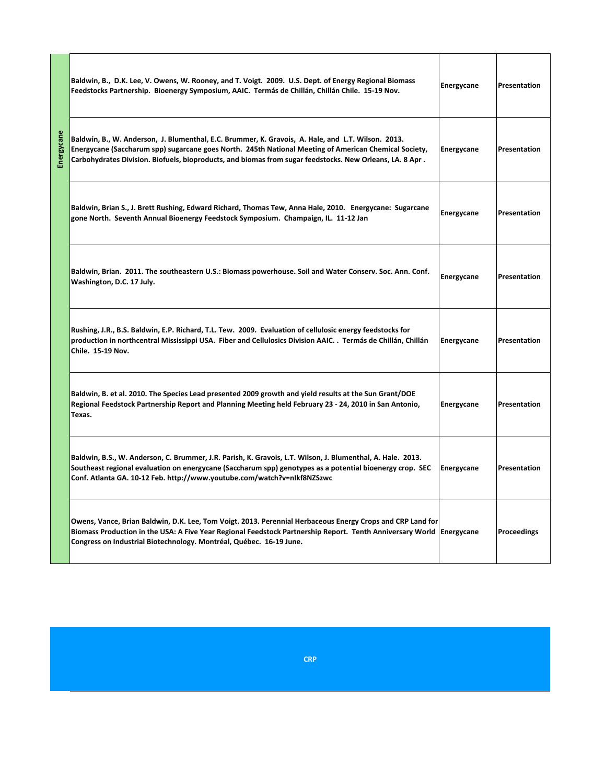|            | Baldwin, B., D.K. Lee, V. Owens, W. Rooney, and T. Voigt. 2009. U.S. Dept. of Energy Regional Biomass<br>Feedstocks Partnership. Bioenergy Symposium, AAIC. Termás de Chillán, Chillán Chile. 15-19 Nov.                                                                                                                | Energycane | Presentation       |
|------------|-------------------------------------------------------------------------------------------------------------------------------------------------------------------------------------------------------------------------------------------------------------------------------------------------------------------------|------------|--------------------|
| Energycane | Baldwin, B., W. Anderson, J. Blumenthal, E.C. Brummer, K. Gravois, A. Hale, and L.T. Wilson. 2013.<br>Energycane (Saccharum spp) sugarcane goes North. 245th National Meeting of American Chemical Society,<br>Carbohydrates Division. Biofuels, bioproducts, and biomas from sugar feedstocks. New Orleans, LA. 8 Apr. | Energycane | Presentation       |
|            | Baldwin, Brian S., J. Brett Rushing, Edward Richard, Thomas Tew, Anna Hale, 2010. Energycane: Sugarcane<br>gone North. Seventh Annual Bioenergy Feedstock Symposium. Champaign, IL. 11-12 Jan                                                                                                                           | Energycane | Presentation       |
|            | Baldwin, Brian. 2011. The southeastern U.S.: Biomass powerhouse. Soil and Water Conserv. Soc. Ann. Conf.<br>Washington, D.C. 17 July.                                                                                                                                                                                   | Energycane | Presentation       |
|            | Rushing, J.R., B.S. Baldwin, E.P. Richard, T.L. Tew. 2009. Evaluation of cellulosic energy feedstocks for<br>production in northcentral Mississippi USA. Fiber and Cellulosics Division AAIC. . Termás de Chillán, Chillán<br>Chile. 15-19 Nov.                                                                         | Energycane | Presentation       |
|            | Baldwin, B. et al. 2010. The Species Lead presented 2009 growth and yield results at the Sun Grant/DOE<br>Regional Feedstock Partnership Report and Planning Meeting held February 23 - 24, 2010 in San Antonio,<br>Texas.                                                                                              | Energycane | Presentation       |
|            | Baldwin, B.S., W. Anderson, C. Brummer, J.R. Parish, K. Gravois, L.T. Wilson, J. Blumenthal, A. Hale. 2013.<br>Southeast regional evaluation on energycane (Saccharum spp) genotypes as a potential bioenergy crop. SEC<br>Conf. Atlanta GA. 10-12 Feb. http://www.youtube.com/watch?v=nIkf8NZSzwc                      | Energycane | Presentation       |
|            | Owens, Vance, Brian Baldwin, D.K. Lee, Tom Voigt. 2013. Perennial Herbaceous Energy Crops and CRP Land for<br>Biomass Production in the USA: A Five Year Regional Feedstock Partnership Report. Tenth Anniversary World Energycane<br>Congress on Industrial Biotechnology. Montréal, Québec. 16-19 June.               |            | <b>Proceedings</b> |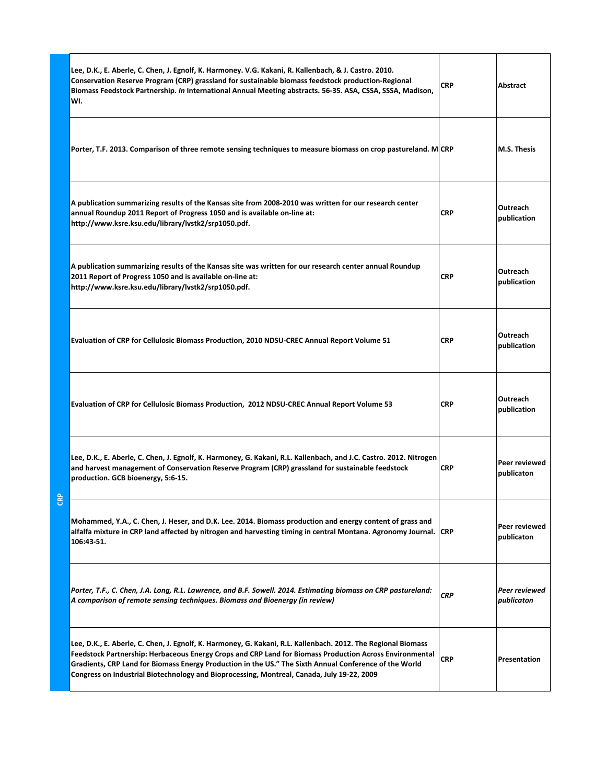|  | Lee, D.K., E. Aberle, C. Chen, J. Egnolf, K. Harmoney. V.G. Kakani, R. Kallenbach, & J. Castro. 2010.<br>Conservation Reserve Program (CRP) grassland for sustainable biomass feedstock production-Regional<br>Biomass Feedstock Partnership. In International Annual Meeting abstracts. 56-35. ASA, CSSA, SSSA, Madison,<br>WI.                                                                                                 | <b>CRP</b> | Abstract                    |
|--|----------------------------------------------------------------------------------------------------------------------------------------------------------------------------------------------------------------------------------------------------------------------------------------------------------------------------------------------------------------------------------------------------------------------------------|------------|-----------------------------|
|  | Porter, T.F. 2013. Comparison of three remote sensing techniques to measure biomass on crop pastureland. M CRP                                                                                                                                                                                                                                                                                                                   |            | <b>M.S. Thesis</b>          |
|  | A publication summarizing results of the Kansas site from 2008-2010 was written for our research center<br>annual Roundup 2011 Report of Progress 1050 and is available on-line at:<br>http://www.ksre.ksu.edu/library/lvstk2/srp1050.pdf.                                                                                                                                                                                       | <b>CRP</b> | Outreach<br>publication     |
|  | A publication summarizing results of the Kansas site was written for our research center annual Roundup<br>2011 Report of Progress 1050 and is available on-line at:<br>http://www.ksre.ksu.edu/library/lvstk2/srp1050.pdf.                                                                                                                                                                                                      | <b>CRP</b> | Outreach<br>publication     |
|  | Evaluation of CRP for Cellulosic Biomass Production, 2010 NDSU-CREC Annual Report Volume 51                                                                                                                                                                                                                                                                                                                                      | <b>CRP</b> | Outreach<br>publication     |
|  | Evaluation of CRP for Cellulosic Biomass Production, 2012 NDSU-CREC Annual Report Volume 53                                                                                                                                                                                                                                                                                                                                      | <b>CRP</b> | Outreach<br>publication     |
|  | Lee, D.K., E. Aberle, C. Chen, J. Egnolf, K. Harmoney, G. Kakani, R.L. Kallenbach, and J.C. Castro. 2012. Nitrogen<br>and harvest management of Conservation Reserve Program (CRP) grassland for sustainable feedstock<br>production. GCB bioenergy, 5:6-15.                                                                                                                                                                     | <b>CRP</b> | Peer reviewed<br>publicaton |
|  | Mohammed, Y.A., C. Chen, J. Heser, and D.K. Lee. 2014. Biomass production and energy content of grass and<br>alfalfa mixture in CRP land affected by nitrogen and harvesting timing in central Montana. Agronomy Journal. CRP<br>106:43-51.                                                                                                                                                                                      |            | Peer reviewed<br>publicaton |
|  | Porter, T.F., C. Chen, J.A. Long, R.L. Lawrence, and B.F. Sowell. 2014. Estimating biomass on CRP pastureland:<br>A comparison of remote sensing techniques. Biomass and Bioenergy (in review)                                                                                                                                                                                                                                   | <b>CRP</b> | Peer reviewed<br>publicaton |
|  | Lee, D.K., E. Aberle, C. Chen, J. Egnolf, K. Harmoney, G. Kakani, R.L. Kallenbach. 2012. The Regional Biomass<br>Feedstock Partnership: Herbaceous Energy Crops and CRP Land for Biomass Production Across Environmental<br>Gradients, CRP Land for Biomass Energy Production in the US." The Sixth Annual Conference of the World<br>Congress on Industrial Biotechnology and Bioprocessing, Montreal, Canada, July 19-22, 2009 | <b>CRP</b> | Presentation                |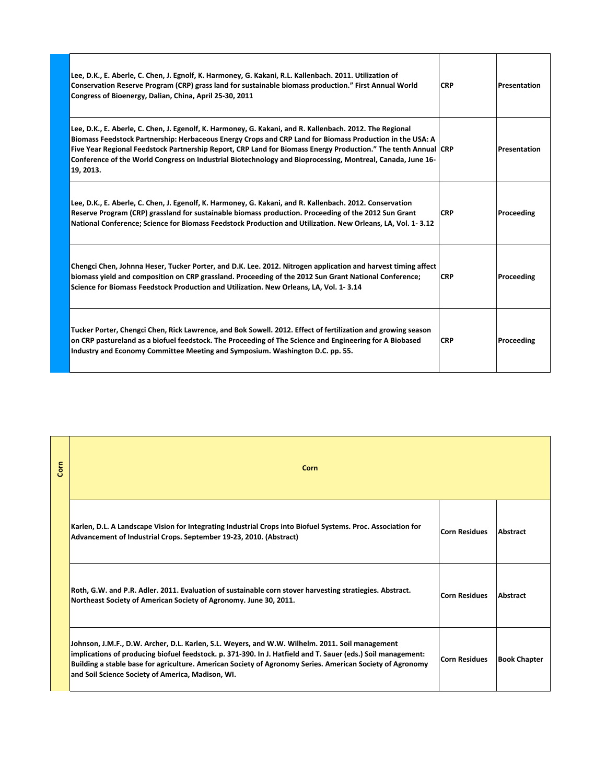| Lee, D.K., E. Aberle, C. Chen, J. Egnolf, K. Harmoney, G. Kakani, R.L. Kallenbach. 2011. Utilization of<br>Conservation Reserve Program (CRP) grass land for sustainable biomass production." First Annual World<br>Congress of Bioenergy, Dalian, China, April 25-30, 2011                                                                                                                                                                                       | <b>CRP</b> | Presentation |
|-------------------------------------------------------------------------------------------------------------------------------------------------------------------------------------------------------------------------------------------------------------------------------------------------------------------------------------------------------------------------------------------------------------------------------------------------------------------|------------|--------------|
| Lee, D.K., E. Aberle, C. Chen, J. Egenolf, K. Harmoney, G. Kakani, and R. Kallenbach. 2012. The Regional<br>Biomass Feedstock Partnership: Herbaceous Energy Crops and CRP Land for Biomass Production in the USA: A<br>Five Year Regional Feedstock Partnership Report, CRP Land for Biomass Energy Production." The tenth Annual CRP<br>Conference of the World Congress on Industrial Biotechnology and Bioprocessing, Montreal, Canada, June 16-<br>19, 2013. |            | Presentation |
| Lee, D.K., E. Aberle, C. Chen, J. Egenolf, K. Harmoney, G. Kakani, and R. Kallenbach. 2012. Conservation<br>Reserve Program (CRP) grassland for sustainable biomass production. Proceeding of the 2012 Sun Grant<br>National Conference; Science for Biomass Feedstock Production and Utilization. New Orleans, LA, Vol. 1-3.12                                                                                                                                   | <b>CRP</b> | Proceeding   |
| Chengci Chen, Johnna Heser, Tucker Porter, and D.K. Lee. 2012. Nitrogen application and harvest timing affect<br>biomass yield and composition on CRP grassland. Proceeding of the 2012 Sun Grant National Conference;<br>Science for Biomass Feedstock Production and Utilization. New Orleans, LA, Vol. 1-3.14                                                                                                                                                  | <b>CRP</b> | Proceeding   |
| Tucker Porter, Chengci Chen, Rick Lawrence, and Bok Sowell. 2012. Effect of fertilization and growing season<br>on CRP pastureland as a biofuel feedstock. The Proceeding of The Science and Engineering for A Biobased<br>Industry and Economy Committee Meeting and Symposium. Washington D.C. pp. 55.                                                                                                                                                          | <b>CRP</b> | Proceeding   |

| Corn | Corn                                                                                                                                                                                                                                                                                                                                                                              |                      |                     |
|------|-----------------------------------------------------------------------------------------------------------------------------------------------------------------------------------------------------------------------------------------------------------------------------------------------------------------------------------------------------------------------------------|----------------------|---------------------|
|      | Karlen, D.L. A Landscape Vision for Integrating Industrial Crops into Biofuel Systems. Proc. Association for<br>Advancement of Industrial Crops. September 19-23, 2010. (Abstract)                                                                                                                                                                                                | <b>Corn Residues</b> | Abstract            |
|      | Roth, G.W. and P.R. Adler. 2011. Evaluation of sustainable corn stover harvesting stratiegies. Abstract.<br>Northeast Society of American Society of Agronomy. June 30, 2011.                                                                                                                                                                                                     | <b>Corn Residues</b> | Abstract            |
|      | Johnson, J.M.F., D.W. Archer, D.L. Karlen, S.L. Weyers, and W.W. Wilhelm. 2011. Soil management<br>implications of producing biofuel feedstock. p. 371-390. In J. Hatfield and T. Sauer (eds.) Soil management:<br>Building a stable base for agriculture. American Society of Agronomy Series. American Society of Agronomy<br>and Soil Science Society of America, Madison, WI. | <b>Corn Residues</b> | <b>Book Chapter</b> |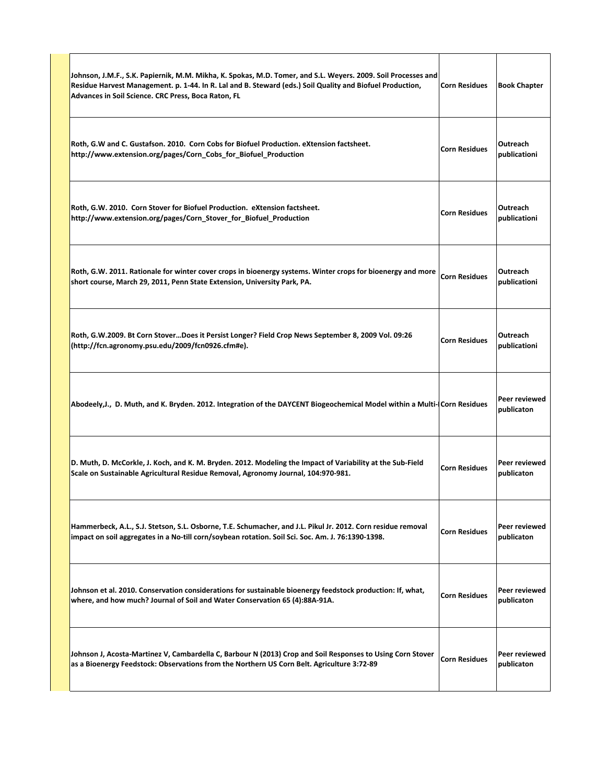| Johnson, J.M.F., S.K. Papiernik, M.M. Mikha, K. Spokas, M.D. Tomer, and S.L. Weyers. 2009. Soil Processes and<br>Residue Harvest Management. p. 1-44. In R. Lal and B. Steward (eds.) Soil Quality and Biofuel Production,<br>Advances in Soil Science. CRC Press, Boca Raton, FL | Corn Residues   Book Chapter                 |
|-----------------------------------------------------------------------------------------------------------------------------------------------------------------------------------------------------------------------------------------------------------------------------------|----------------------------------------------|
| Roth, G.W and C. Gustafson. 2010. Corn Cobs for Biofuel Production. eXtension factsheet.<br>http://www.extension.org/pages/Corn_Cobs_for_Biofuel_Production                                                                                                                       | Outreach<br>Corn Residues<br>publicationi    |
| Roth, G.W. 2010. Corn Stover for Biofuel Production. eXtension factsheet.<br>http://www.extension.org/pages/Corn_Stover_for_Biofuel_Production                                                                                                                                    | Outreach<br>Corn Residues<br>publicationi    |
| Roth, G.W. 2011. Rationale for winter cover crops in bioenergy systems. Winter crops for bioenergy and more $ $ Corn Residues<br>short course, March 29, 2011, Penn State Extension, University Park, PA.                                                                         | Outreach<br>publicationi                     |
| Roth, G.W.2009. Bt Corn StoverDoes it Persist Longer? Field Crop News September 8, 2009 Vol. 09:26<br>http://fcn.agronomy.psu.edu/2009/fcn0926.cfm#e).                                                                                                                            | Outreach<br>Corn Residues<br>publicationi    |
| Abodeely, J., D. Muth, and K. Bryden. 2012. Integration of the DAYCENT Biogeochemical Model within a Multi-(Corn Residues                                                                                                                                                         | Peer reviewed<br>publicaton                  |
| D. Muth, D. McCorkle, J. Koch, and K. M. Bryden. 2012. Modeling the Impact of Variability at the Sub-Field<br>Scale on Sustainable Agricultural Residue Removal, Agronomy Journal, 104:970-981.                                                                                   | Peer reviewed<br>Corn Residues<br>publicaton |
| Hammerbeck, A.L., S.J. Stetson, S.L. Osborne, T.E. Schumacher, and J.L. Pikul Jr. 2012. Corn residue removal<br>impact on soil aggregates in a No-till corn/soybean rotation. Soil Sci. Soc. Am. J. 76:1390-1398.                                                                 | Peer reviewed<br>Corn Residues<br>publicaton |
| Johnson et al. 2010. Conservation considerations for sustainable bioenergy feedstock production: If, what,<br>where, and how much? Journal of Soil and Water Conservation 65 (4):88A-91A.                                                                                         | Peer reviewed<br>Corn Residues<br>publicaton |
| Johnson J, Acosta-Martinez V, Cambardella C, Barbour N (2013) Crop and Soil Responses to Using Corn Stover<br>as a Bioenergy Feedstock: Observations from the Northern US Corn Belt. Agriculture 3:72-89                                                                          | Peer reviewed<br>Corn Residues<br>publicaton |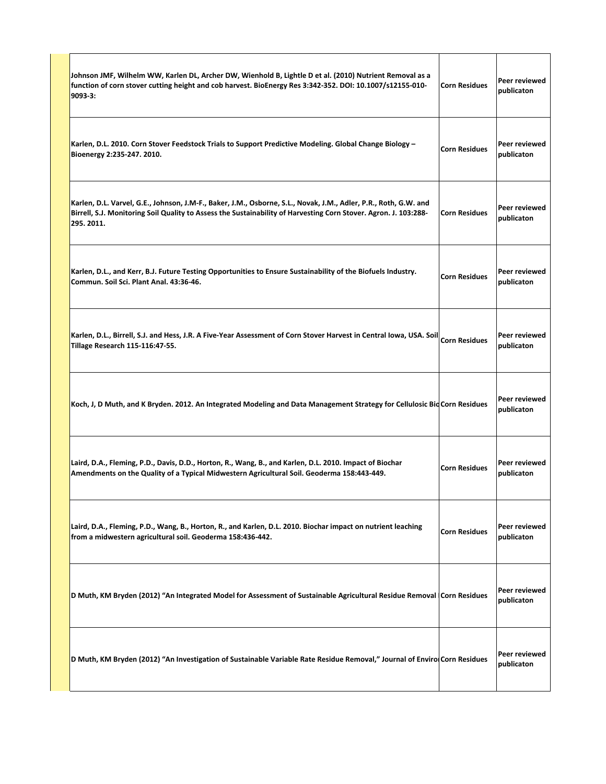| Johnson JMF, Wilhelm WW, Karlen DL, Archer DW, Wienhold B, Lightle D et al. (2010) Nutrient Removal as a<br>function of corn stover cutting height and cob harvest. BioEnergy Res 3:342-352. DOI: 10.1007/s12155-010-<br>$9093-3:$                              | Corn Residues | Peer reviewed<br>publicaton |
|-----------------------------------------------------------------------------------------------------------------------------------------------------------------------------------------------------------------------------------------------------------------|---------------|-----------------------------|
| Karlen, D.L. 2010. Corn Stover Feedstock Trials to Support Predictive Modeling. Global Change Biology -<br>Bioenergy 2:235-247. 2010.                                                                                                                           | Corn Residues | Peer reviewed<br>publicaton |
| Karlen, D.L. Varvel, G.E., Johnson, J.M-F., Baker, J.M., Osborne, S.L., Novak, J.M., Adler, P.R., Roth, G.W. and<br>Birrell, S.J. Monitoring Soil Quality to Assess the Sustainability of Harvesting Corn Stover. Agron. J. 103:288- Corn Residues<br>295.2011. |               | Peer reviewed<br>publicaton |
| Karlen, D.L., and Kerr, B.J. Future Testing Opportunities to Ensure Sustainability of the Biofuels Industry.<br>Commun. Soil Sci. Plant Anal. 43:36-46.                                                                                                         | Corn Residues | Peer reviewed<br>publicaton |
| Karlen, D.L., Birrell, S.J. and Hess, J.R. A Five-Year Assessment of Corn Stover Harvest in Central Iowa, USA. Soil Corn Residues<br>$\sqrt{\phantom{a}}$ Tillage Research 115-116:47-55.                                                                       |               | Peer reviewed<br>publicaton |
| Koch, J, D Muth, and K Bryden. 2012. An Integrated Modeling and Data Management Strategy for Cellulosic BioCorn Residues                                                                                                                                        |               | Peer reviewed<br>publicaton |
| Laird, D.A., Fleming, P.D., Davis, D.D., Horton, R., Wang, B., and Karlen, D.L. 2010. Impact of Biochar<br>Amendments on the Quality of a Typical Midwestern Agricultural Soil. Geoderma 158:443-449.                                                           | Corn Residues | Peer reviewed<br>publicaton |
| Laird, D.A., Fleming, P.D., Wang, B., Horton, R., and Karlen, D.L. 2010. Biochar impact on nutrient leaching<br>from a midwestern agricultural soil. Geoderma 158:436-442.                                                                                      | Corn Residues | Peer reviewed<br>publicaton |
| D Muth, KM Bryden (2012) "An Integrated Model for Assessment of Sustainable Agricultural Residue Removal Corn Residues                                                                                                                                          |               | Peer reviewed<br>publicaton |
| D Muth, KM Bryden (2012) "An Investigation of Sustainable Variable Rate Residue Removal," Journal of Enviro Corn Residues                                                                                                                                       |               | Peer reviewed<br>publicaton |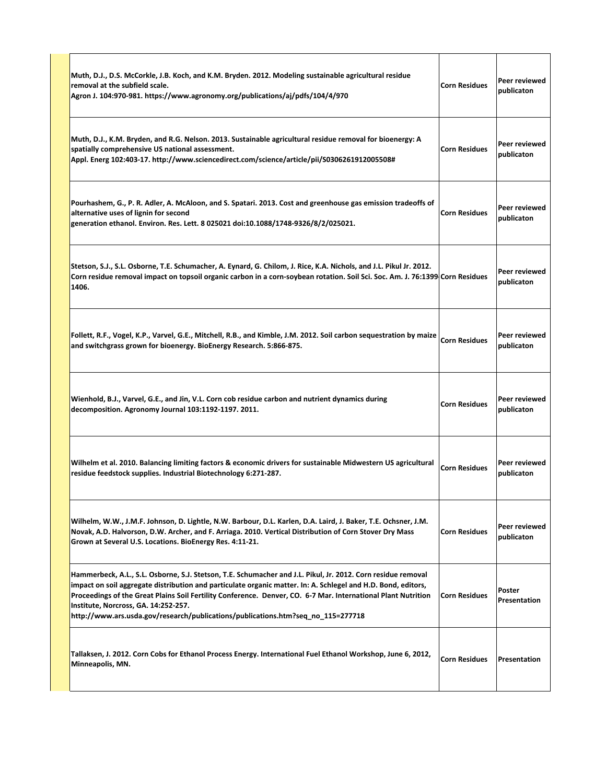| Muth, D.J., D.S. McCorkle, J.B. Koch, and K.M. Bryden. 2012. Modeling sustainable agricultural residue<br>removal at the subfield scale.<br>Agron J. 104:970-981. https://www.agronomy.org/publications/aj/pdfs/104/4/970                                                                                                                                                                                                                                                  | <b>Corn Residues</b> | Peer reviewed<br>publicaton |
|----------------------------------------------------------------------------------------------------------------------------------------------------------------------------------------------------------------------------------------------------------------------------------------------------------------------------------------------------------------------------------------------------------------------------------------------------------------------------|----------------------|-----------------------------|
| Muth, D.J., K.M. Bryden, and R.G. Nelson. 2013. Sustainable agricultural residue removal for bioenergy: A<br>spatially comprehensive US national assessment.<br>Appl. Energ 102:403-17. http://www.sciencedirect.com/science/article/pii/S0306261912005508#                                                                                                                                                                                                                | <b>Corn Residues</b> | Peer reviewed<br>publicaton |
| Pourhashem, G., P. R. Adler, A. McAloon, and S. Spatari. 2013. Cost and greenhouse gas emission tradeoffs of<br>alternative uses of lignin for second<br>generation ethanol. Environ. Res. Lett. 8 025021 doi:10.1088/1748-9326/8/2/025021.                                                                                                                                                                                                                                | <b>Corn Residues</b> | Peer reviewed<br>publicaton |
| Stetson, S.J., S.L. Osborne, T.E. Schumacher, A. Eynard, G. Chilom, J. Rice, K.A. Nichols, and J.L. Pikul Jr. 2012.<br>Corn residue removal impact on topsoil organic carbon in a corn-soybean rotation. Soil Sci. Soc. Am. J. 76:1399 Corn Residues<br>1406.                                                                                                                                                                                                              |                      | Peer reviewed<br>publicaton |
| Follett, R.F., Vogel, K.P., Varvel, G.E., Mitchell, R.B., and Kimble, J.M. 2012. Soil carbon sequestration by maize<br>and switchgrass grown for bioenergy. BioEnergy Research. 5:866-875.                                                                                                                                                                                                                                                                                 | <b>Corn Residues</b> | Peer reviewed<br>publicaton |
| Wienhold, B.J., Varvel, G.E., and Jin, V.L. Corn cob residue carbon and nutrient dynamics during<br>decomposition. Agronomy Journal 103:1192-1197. 2011.                                                                                                                                                                                                                                                                                                                   | <b>Corn Residues</b> | Peer reviewed<br>publicaton |
| Wilhelm et al. 2010. Balancing limiting factors & economic drivers for sustainable Midwestern US agricultural<br>residue feedstock supplies. Industrial Biotechnology 6:271-287.                                                                                                                                                                                                                                                                                           | <b>Corn Residues</b> | Peer reviewed<br>publicaton |
| Wilhelm, W.W., J.M.F. Johnson, D. Lightle, N.W. Barbour, D.L. Karlen, D.A. Laird, J. Baker, T.E. Ochsner, J.M.<br>Novak, A.D. Halvorson, D.W. Archer, and F. Arriaga. 2010. Vertical Distribution of Corn Stover Dry Mass<br>Grown at Several U.S. Locations. BioEnergy Res. 4:11-21.                                                                                                                                                                                      | <b>Corn Residues</b> | Peer reviewed<br>publicaton |
| Hammerbeck, A.L., S.L. Osborne, S.J. Stetson, T.E. Schumacher and J.L. Pikul, Jr. 2012. Corn residue removal<br>impact on soil aggregate distribution and particulate organic matter. In: A. Schlegel and H.D. Bond, editors,<br>Proceedings of the Great Plains Soil Fertility Conference. Denver, CO. 6-7 Mar. International Plant Nutrition<br>Institute, Norcross, GA. 14:252-257.<br>http://www.ars.usda.gov/research/publications/publications.htm?seq no 115=277718 | <b>Corn Residues</b> | Poster<br>Presentation      |
| Tallaksen, J. 2012. Corn Cobs for Ethanol Process Energy. International Fuel Ethanol Workshop, June 6, 2012,<br>Minneapolis, MN.                                                                                                                                                                                                                                                                                                                                           | <b>Corn Residues</b> | Presentation                |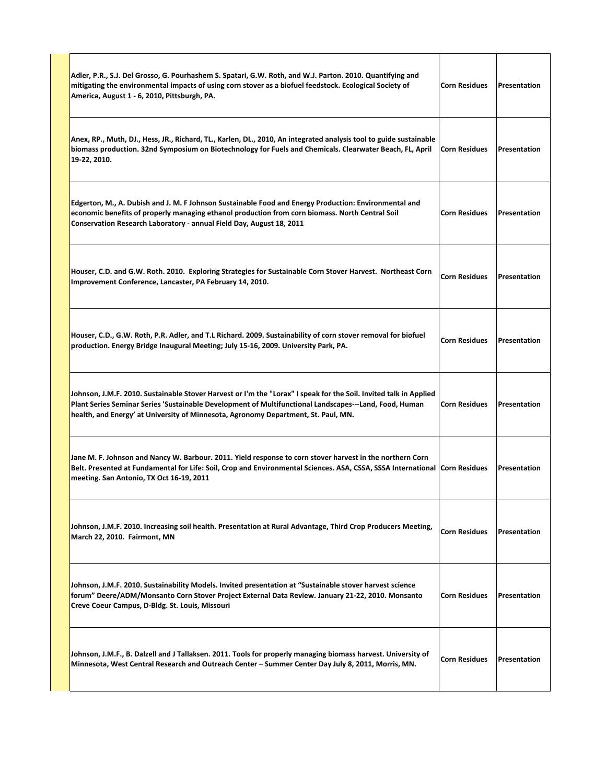| Adler, P.R., S.J. Del Grosso, G. Pourhashem S. Spatari, G.W. Roth, and W.J. Parton. 2010. Quantifying and<br>mitigating the environmental impacts of using corn stover as a biofuel feedstock. Ecological Society of<br>America, August 1 - 6, 2010, Pittsburgh, PA.                                              | <b>Corn Residues</b> | <b>Presentation</b> |
|-------------------------------------------------------------------------------------------------------------------------------------------------------------------------------------------------------------------------------------------------------------------------------------------------------------------|----------------------|---------------------|
| Anex, RP., Muth, DJ., Hess, JR., Richard, TL., Karlen, DL., 2010, An integrated analysis tool to guide sustainable<br>biomass production. 32nd Symposium on Biotechnology for Fuels and Chemicals. Clearwater Beach, FL, April<br>19-22, 2010.                                                                    | <b>Corn Residues</b> | <b>Presentation</b> |
| Edgerton, M., A. Dubish and J. M. F Johnson Sustainable Food and Energy Production: Environmental and<br>economic benefits of properly managing ethanol production from corn biomass. North Central Soil<br>Conservation Research Laboratory - annual Field Day, August 18, 2011                                  | <b>Corn Residues</b> | Presentation        |
| Houser, C.D. and G.W. Roth. 2010. Exploring Strategies for Sustainable Corn Stover Harvest. Northeast Corn<br>Improvement Conference, Lancaster, PA February 14, 2010.                                                                                                                                            | <b>Corn Residues</b> | Presentation        |
| Houser, C.D., G.W. Roth, P.R. Adler, and T.L Richard. 2009. Sustainability of corn stover removal for biofuel<br>production. Energy Bridge Inaugural Meeting; July 15-16, 2009. University Park, PA.                                                                                                              | <b>Corn Residues</b> | Presentation        |
| Johnson, J.M.F. 2010. Sustainable Stover Harvest or I'm the "Lorax" I speak for the Soil. Invited talk in Applied<br>Plant Series Seminar Series 'Sustainable Development of Multifunctional Landscapes---Land, Food, Human<br>health, and Energy' at University of Minnesota, Agronomy Department, St. Paul, MN. | <b>Corn Residues</b> | Presentation        |
| Jane M. F. Johnson and Nancy W. Barbour. 2011. Yield response to corn stover harvest in the northern Corn<br>Belt. Presented at Fundamental for Life: Soil, Crop and Environmental Sciences. ASA, CSSA, SSSA International Corn Residues<br>meeting. San Antonio, TX Oct 16-19, 2011                              |                      | Presentation        |
| Johnson, J.M.F. 2010. Increasing soil health. Presentation at Rural Advantage, Third Crop Producers Meeting,<br>March 22, 2010. Fairmont, MN                                                                                                                                                                      | <b>Corn Residues</b> | Presentation        |
| Johnson, J.M.F. 2010. Sustainability Models. Invited presentation at "Sustainable stover harvest science<br>forum" Deere/ADM/Monsanto Corn Stover Project External Data Review. January 21-22, 2010. Monsanto<br>Creve Coeur Campus, D-Bldg. St. Louis, Missouri                                                  | <b>Corn Residues</b> | Presentation        |
| Johnson, J.M.F., B. Dalzell and J Tallaksen. 2011. Tools for properly managing biomass harvest. University of<br>Minnesota, West Central Research and Outreach Center - Summer Center Day July 8, 2011, Morris, MN.                                                                                               | <b>Corn Residues</b> | Presentation        |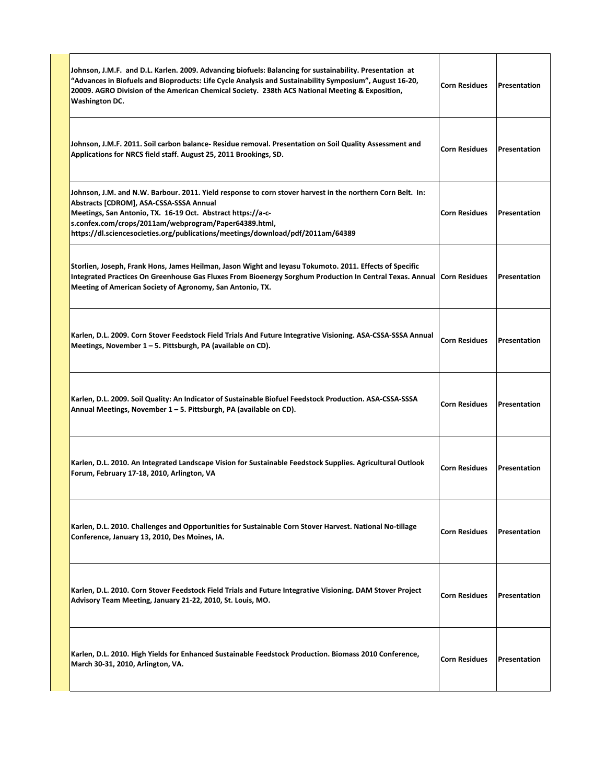| Johnson, J.M.F. and D.L. Karlen. 2009. Advancing biofuels: Balancing for sustainability. Presentation at<br>Advances in Biofuels and Bioproducts: Life Cycle Analysis and Sustainability Symposium", August 16-20, "<br>20009. AGRO Division of the American Chemical Society. 238th ACS National Meeting & Exposition,<br><b>Washington DC.</b>                 | <b>Corn Residues</b> | Presentation        |
|------------------------------------------------------------------------------------------------------------------------------------------------------------------------------------------------------------------------------------------------------------------------------------------------------------------------------------------------------------------|----------------------|---------------------|
| Johnson, J.M.F. 2011. Soil carbon balance- Residue removal. Presentation on Soil Quality Assessment and<br>Applications for NRCS field staff. August 25, 2011 Brookings, SD.                                                                                                                                                                                     | <b>Corn Residues</b> | Presentation        |
| Johnson, J.M. and N.W. Barbour. 2011. Yield response to corn stover harvest in the northern Corn Belt. In:<br>Abstracts [CDROM], ASA-CSSA-SSSA Annual<br>Meetings, San Antonio, TX. 16-19 Oct. Abstract https://a-c-<br>s.confex.com/crops/2011am/webprogram/Paper64389.html,<br>https://dl.sciencesocieties.org/publications/meetings/download/pdf/2011am/64389 | <b>Corn Residues</b> | Presentation        |
| Storlien, Joseph, Frank Hons, James Heilman, Jason Wight and Ieyasu Tokumoto. 2011. Effects of Specific<br>Integrated Practices On Greenhouse Gas Fluxes From Bioenergy Sorghum Production In Central Texas. Annual<br>Meeting of American Society of Agronomy, San Antonio, TX.                                                                                 | <b>Corn Residues</b> | <b>Presentation</b> |
| Karlen, D.L. 2009. Corn Stover Feedstock Field Trials And Future Integrative Visioning. ASA-CSSA-SSSA Annual<br>Meetings, November 1 - 5. Pittsburgh, PA (available on CD).                                                                                                                                                                                      | <b>Corn Residues</b> | Presentation        |
| Karlen, D.L. 2009. Soil Quality: An Indicator of Sustainable Biofuel Feedstock Production. ASA-CSSA-SSSA<br>Annual Meetings, November 1 – 5. Pittsburgh, PA (available on CD).                                                                                                                                                                                   | <b>Corn Residues</b> | Presentation        |
| Karlen, D.L. 2010. An Integrated Landscape Vision for Sustainable Feedstock Supplies. Agricultural Outlook<br>Forum, February 17-18, 2010, Arlington, VA                                                                                                                                                                                                         | <b>Corn Residues</b> | Presentation        |
| Karlen, D.L. 2010. Challenges and Opportunities for Sustainable Corn Stover Harvest. National No-tillage<br>Conference, January 13, 2010, Des Moines, IA.                                                                                                                                                                                                        | <b>Corn Residues</b> | Presentation        |
| Karlen, D.L. 2010. Corn Stover Feedstock Field Trials and Future Integrative Visioning. DAM Stover Project<br>Advisory Team Meeting, January 21-22, 2010, St. Louis, MO.                                                                                                                                                                                         | <b>Corn Residues</b> | Presentation        |
| Karlen, D.L. 2010. High Yields for Enhanced Sustainable Feedstock Production. Biomass 2010 Conference,<br>March 30-31, 2010, Arlington, VA.                                                                                                                                                                                                                      | <b>Corn Residues</b> | Presentation        |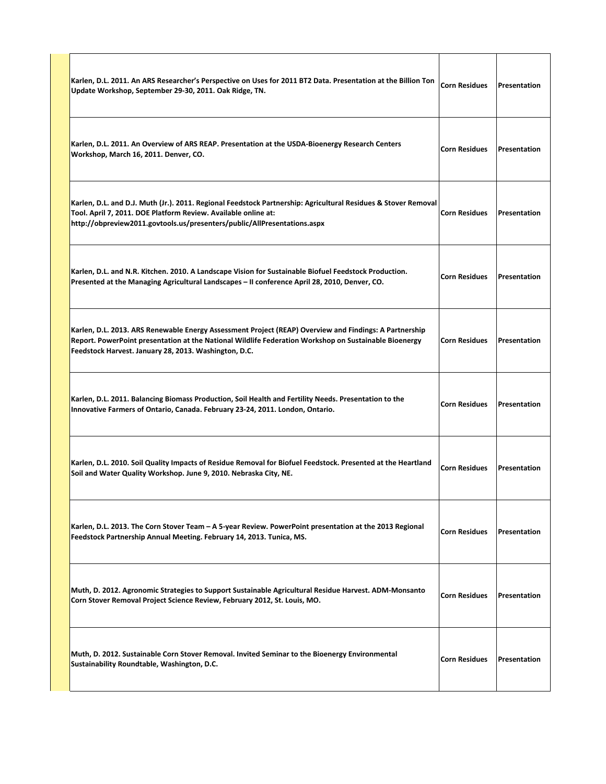| Karlen, D.L. 2011. An ARS Researcher's Perspective on Uses for 2011 BT2 Data. Presentation at the Billion Ton<br>Update Workshop, September 29-30, 2011. Oak Ridge, TN.                                                                                                  | <b>Corn Residues</b> | Presentation |
|--------------------------------------------------------------------------------------------------------------------------------------------------------------------------------------------------------------------------------------------------------------------------|----------------------|--------------|
| Karlen, D.L. 2011. An Overview of ARS REAP. Presentation at the USDA-Bioenergy Research Centers<br>Workshop, March 16, 2011. Denver, CO.                                                                                                                                 | <b>Corn Residues</b> | Presentation |
| Karlen, D.L. and D.J. Muth (Jr.). 2011. Regional Feedstock Partnership: Agricultural Residues & Stover Removal<br>Tool. April 7, 2011. DOE Platform Review. Available online at:<br>http://obpreview2011.govtools.us/presenters/public/AllPresentations.aspx             | <b>Corn Residues</b> | Presentation |
| Karlen, D.L. and N.R. Kitchen. 2010. A Landscape Vision for Sustainable Biofuel Feedstock Production.<br>Presented at the Managing Agricultural Landscapes - II conference April 28, 2010, Denver, CO.                                                                   | <b>Corn Residues</b> | Presentation |
| Karlen, D.L. 2013. ARS Renewable Energy Assessment Project (REAP) Overview and Findings: A Partnership<br>Report. PowerPoint presentation at the National Wildlife Federation Workshop on Sustainable Bioenergy<br>Feedstock Harvest. January 28, 2013. Washington, D.C. | <b>Corn Residues</b> | Presentation |
| Karlen, D.L. 2011. Balancing Biomass Production, Soil Health and Fertility Needs. Presentation to the<br>Innovative Farmers of Ontario, Canada. February 23-24, 2011. London, Ontario.                                                                                   | <b>Corn Residues</b> | Presentation |
| Karlen, D.L. 2010. Soil Quality Impacts of Residue Removal for Biofuel Feedstock. Presented at the Heartland<br>Soil and Water Quality Workshop. June 9, 2010. Nebraska City, NE.                                                                                        | <b>Corn Residues</b> | Presentation |
| Karlen, D.L. 2013. The Corn Stover Team - A 5-year Review. PowerPoint presentation at the 2013 Regional<br>Feedstock Partnership Annual Meeting. February 14, 2013. Tunica, MS.                                                                                          | <b>Corn Residues</b> | Presentation |
| Muth, D. 2012. Agronomic Strategies to Support Sustainable Agricultural Residue Harvest. ADM-Monsanto<br>Corn Stover Removal Project Science Review, February 2012, St. Louis, MO.                                                                                       | <b>Corn Residues</b> | Presentation |
| Muth, D. 2012. Sustainable Corn Stover Removal. Invited Seminar to the Bioenergy Environmental<br>Sustainability Roundtable, Washington, D.C.                                                                                                                            | <b>Corn Residues</b> | Presentation |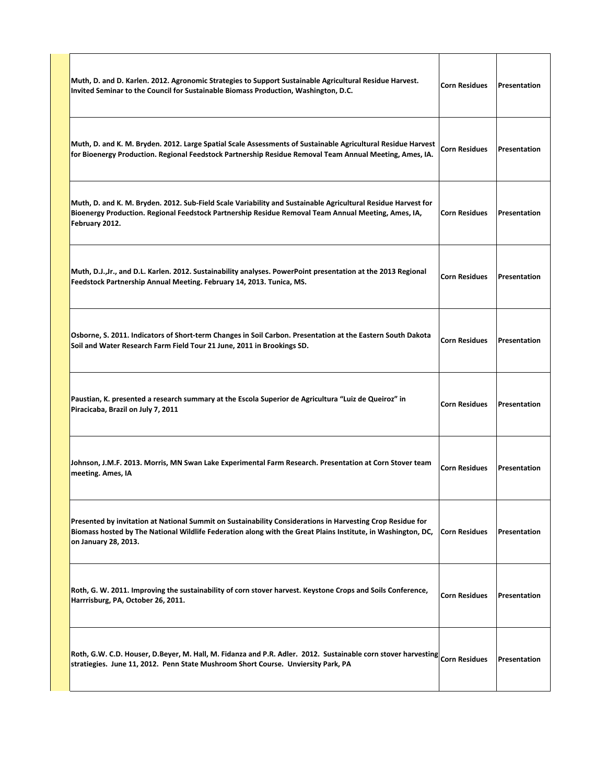| Muth, D. and D. Karlen. 2012. Agronomic Strategies to Support Sustainable Agricultural Residue Harvest.<br>Invited Seminar to the Council for Sustainable Biomass Production, Washington, D.C.                                                     | <b>Corn Residues</b> | Presentation |
|----------------------------------------------------------------------------------------------------------------------------------------------------------------------------------------------------------------------------------------------------|----------------------|--------------|
| Muth, D. and K. M. Bryden. 2012. Large Spatial Scale Assessments of Sustainable Agricultural Residue Harvest<br>for Bioenergy Production. Regional Feedstock Partnership Residue Removal Team Annual Meeting, Ames, IA.                            | <b>Corn Residues</b> | Presentation |
| Muth, D. and K. M. Bryden. 2012. Sub-Field Scale Variability and Sustainable Agricultural Residue Harvest for<br>Bioenergy Production. Regional Feedstock Partnership Residue Removal Team Annual Meeting, Ames, IA,<br>February 2012.             | <b>Corn Residues</b> | Presentation |
| Muth, D.J.,Jr., and D.L. Karlen. 2012. Sustainability analyses. PowerPoint presentation at the 2013 Regional<br>Feedstock Partnership Annual Meeting. February 14, 2013. Tunica, MS.                                                               | <b>Corn Residues</b> | Presentation |
| Osborne, S. 2011. Indicators of Short-term Changes in Soil Carbon. Presentation at the Eastern South Dakota<br>Soil and Water Research Farm Field Tour 21 June, 2011 in Brookings SD.                                                              | <b>Corn Residues</b> | Presentation |
| Paustian, K. presented a research summary at the Escola Superior de Agricultura "Luiz de Queiroz" in<br>Piracicaba, Brazil on July 7, 2011                                                                                                         | <b>Corn Residues</b> | Presentation |
| Johnson, J.M.F. 2013. Morris, MN Swan Lake Experimental Farm Research. Presentation at Corn Stover team<br>meeting. Ames, IA                                                                                                                       | <b>Corn Residues</b> | Presentation |
| Presented by invitation at National Summit on Sustainability Considerations in Harvesting Crop Residue for<br>Biomass hosted by The National Wildlife Federation along with the Great Plains Institute, in Washington, DC,<br>on January 28, 2013. | Corn Residues        | Presentation |
| Roth, G. W. 2011. Improving the sustainability of corn stover harvest. Keystone Crops and Soils Conference,<br>Harrrisburg, PA, October 26, 2011.                                                                                                  | <b>Corn Residues</b> | Presentation |
| Roth, G.W. C.D. Houser, D.Beyer, M. Hall, M. Fidanza and P.R. Adler. 2012. Sustainable corn stover harvesting $\vert$ Corn Residues<br>stratiegies. June 11, 2012. Penn State Mushroom Short Course. Unviersity Park, PA                           |                      | Presentation |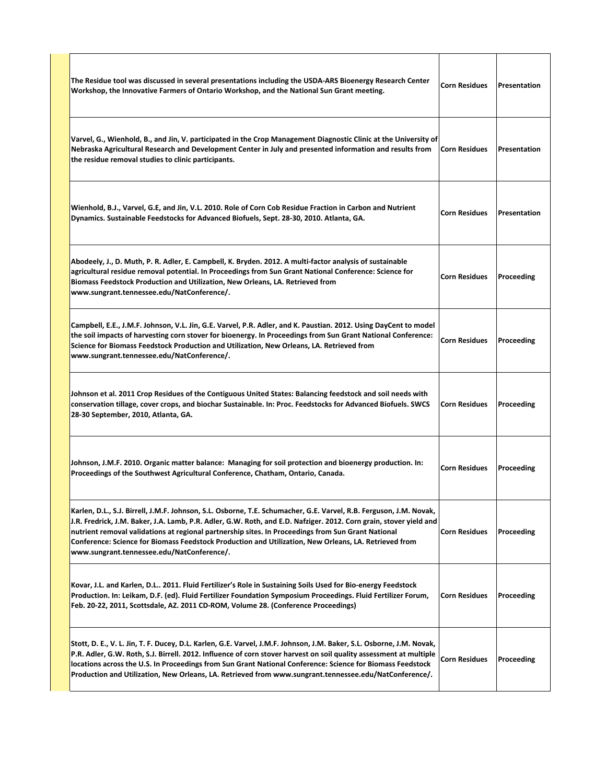| The Residue tool was discussed in several presentations including the USDA-ARS Bioenergy Research Center<br>Workshop, the Innovative Farmers of Ontario Workshop, and the National Sun Grant meeting.                                                                                                                                                                                                                                                                                                 | <b>Corn Residues</b> | Presentation |
|-------------------------------------------------------------------------------------------------------------------------------------------------------------------------------------------------------------------------------------------------------------------------------------------------------------------------------------------------------------------------------------------------------------------------------------------------------------------------------------------------------|----------------------|--------------|
| Varvel, G., Wienhold, B., and Jin, V. participated in the Crop Management Diagnostic Clinic at the University of<br>Nebraska Agricultural Research and Development Center in July and presented information and results from<br>the residue removal studies to clinic participants.                                                                                                                                                                                                                   | <b>Corn Residues</b> | Presentation |
| Wienhold, B.J., Varvel, G.E, and Jin, V.L. 2010. Role of Corn Cob Residue Fraction in Carbon and Nutrient<br>Dynamics. Sustainable Feedstocks for Advanced Biofuels, Sept. 28-30, 2010. Atlanta, GA.                                                                                                                                                                                                                                                                                                  | <b>Corn Residues</b> | Presentation |
| Abodeely, J., D. Muth, P. R. Adler, E. Campbell, K. Bryden. 2012. A multi-factor analysis of sustainable<br>agricultural residue removal potential. In Proceedings from Sun Grant National Conference: Science for<br>Biomass Feedstock Production and Utilization, New Orleans, LA. Retrieved from<br>www.sungrant.tennessee.edu/NatConference/.                                                                                                                                                     | <b>Corn Residues</b> | Proceeding   |
| Campbell, E.E., J.M.F. Johnson, V.L. Jin, G.E. Varvel, P.R. Adler, and K. Paustian. 2012. Using DayCent to model<br>the soil impacts of harvesting corn stover for bioenergy. In Proceedings from Sun Grant National Conference:<br>Science for Biomass Feedstock Production and Utilization, New Orleans, LA. Retrieved from<br>www.sungrant.tennessee.edu/NatConference/.                                                                                                                           | <b>Corn Residues</b> | Proceeding   |
| Johnson et al. 2011 Crop Residues of the Contiguous United States: Balancing feedstock and soil needs with<br>conservation tillage, cover crops, and biochar Sustainable. In: Proc. Feedstocks for Advanced Biofuels. SWCS<br>28-30 September, 2010, Atlanta, GA.                                                                                                                                                                                                                                     | <b>Corn Residues</b> | Proceeding   |
| Johnson, J.M.F. 2010. Organic matter balance: Managing for soil protection and bioenergy production. In:<br>Proceedings of the Southwest Agricultural Conference, Chatham, Ontario, Canada.                                                                                                                                                                                                                                                                                                           | <b>Corn Residues</b> | Proceeding   |
| Karlen, D.L., S.J. Birrell, J.M.F. Johnson, S.L. Osborne, T.E. Schumacher, G.E. Varvel, R.B. Ferguson, J.M. Novak,<br>J.R. Fredrick, J.M. Baker, J.A. Lamb, P.R. Adler, G.W. Roth, and E.D. Nafziger. 2012. Corn grain, stover yield and<br>nutrient removal validations at regional partnership sites. In Proceedings from Sun Grant National<br>Conference: Science for Biomass Feedstock Production and Utilization, New Orleans, LA. Retrieved from<br>www.sungrant.tennessee.edu/NatConference/. | <b>Corn Residues</b> | Proceeding   |
| Kovar, J.L. and Karlen, D.L 2011. Fluid Fertilizer's Role in Sustaining Soils Used for Bio-energy Feedstock<br>Production. In: Leikam, D.F. (ed). Fluid Fertilizer Foundation Symposium Proceedings. Fluid Fertilizer Forum,<br>Feb. 20-22, 2011, Scottsdale, AZ. 2011 CD-ROM, Volume 28. (Conference Proceedings)                                                                                                                                                                                    | <b>Corn Residues</b> | Proceeding   |
| Stott, D. E., V. L. Jin, T. F. Ducey, D.L. Karlen, G.E. Varvel, J.M.F. Johnson, J.M. Baker, S.L. Osborne, J.M. Novak,<br>P.R. Adler, G.W. Roth, S.J. Birrell. 2012. Influence of corn stover harvest on soil quality assessment at multiple<br>locations across the U.S. In Proceedings from Sun Grant National Conference: Science for Biomass Feedstock<br>Production and Utilization, New Orleans, LA. Retrieved from www.sungrant.tennessee.edu/NatConference/.                                   | <b>Corn Residues</b> | Proceeding   |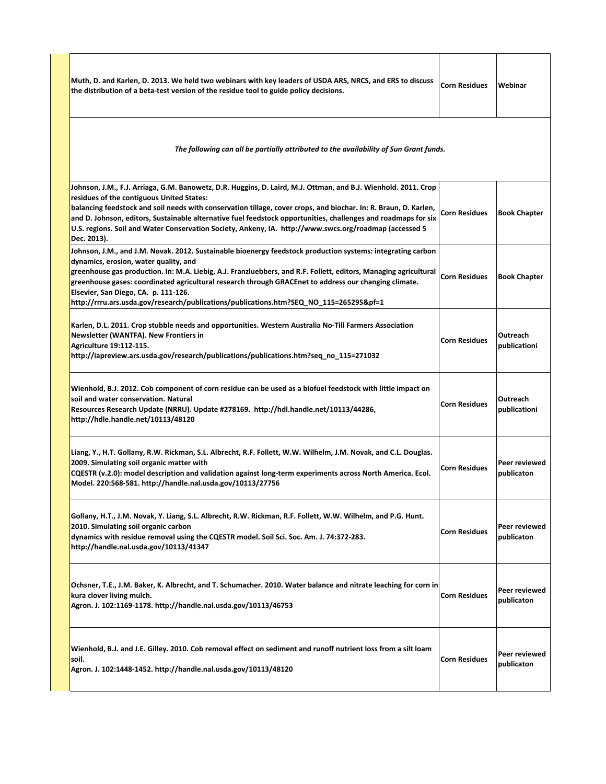| Muth, D. and Karlen, D. 2013. We held two webinars with key leaders of USDA ARS, NRCS, and ERS to discuss<br>the distribution of a beta-test version of the residue tool to guide policy decisions.                                                                                                                                                                                                                                                                                                                        | <b>Corn Residues</b> | Webinar                     |
|----------------------------------------------------------------------------------------------------------------------------------------------------------------------------------------------------------------------------------------------------------------------------------------------------------------------------------------------------------------------------------------------------------------------------------------------------------------------------------------------------------------------------|----------------------|-----------------------------|
| The following can all be partially attributed to the availability of Sun Grant funds.                                                                                                                                                                                                                                                                                                                                                                                                                                      |                      |                             |
| Johnson, J.M., F.J. Arriaga, G.M. Banowetz, D.R. Huggins, D. Laird, M.J. Ottman, and B.J. Wienhold. 2011. Crop<br>residues of the contiguous United States:<br>balancing feedstock and soil needs with conservation tillage, cover crops, and biochar. In: R. Braun, D. Karlen,<br>and D. Johnson, editors, Sustainable alternative fuel feedstock opportunities, challenges and roadmaps for six<br>U.S. regions. Soil and Water Conservation Society, Ankeny, IA. http://www.swcs.org/roadmap (accessed 5<br>Dec. 2013). | <b>Corn Residues</b> | <b>Book Chapter</b>         |
| Johnson, J.M., and J.M. Novak. 2012. Sustainable bioenergy feedstock production systems: integrating carbon<br>dynamics, erosion, water quality, and<br>greenhouse gas production. In: M.A. Liebig, A.J. Franzluebbers, and R.F. Follett, editors, Managing agricultural<br>greenhouse gases: coordinated agricultural research through GRACEnet to address our changing climate.<br>Elsevier, San Diego, CA. p. 111-126.<br>http://rrru.ars.usda.gov/research/publications/publications.htm?SEQ NO 115=265295&pf=1        | <b>Corn Residues</b> | <b>Book Chapter</b>         |
| Karlen, D.L. 2011. Crop stubble needs and opportunities. Western Australia No-Till Farmers Association<br><b>Newsletter (WANTFA). New Frontiers in</b><br>Agriculture 19:112-115.<br>http://iapreview.ars.usda.gov/research/publications/publications.htm?seq_no_115=271032                                                                                                                                                                                                                                                | <b>Corn Residues</b> | Outreach<br>publicationi    |
| Wienhold, B.J. 2012. Cob component of corn residue can be used as a biofuel feedstock with little impact on<br>soil and water conservation. Natural<br>Resources Research Update (NRRU). Update #278169. http://hdl.handle.net/10113/44286,<br>http://hdle.handle.net/10113/48120                                                                                                                                                                                                                                          | <b>Corn Residues</b> | Outreach<br>publicationi    |
| Liang, Y., H.T. Gollany, R.W. Rickman, S.L. Albrecht, R.F. Follett, W.W. Wilhelm, J.M. Novak, and C.L. Douglas.<br>2009. Simulating soil organic matter with<br>CQESTR (v.2.0): model description and validation against long-term experiments across North America. Ecol.<br>Model. 220:568-581. http://handle.nal.usda.gov/10113/27756                                                                                                                                                                                   | <b>Corn Residues</b> | Peer reviewed<br>publicaton |
| Gollany, H.T., J.M. Novak, Y. Liang, S.L. Albrecht, R.W. Rickman, R.F. Follett, W.W. Wilhelm, and P.G. Hunt.<br>2010. Simulating soil organic carbon<br>dynamics with residue removal using the CQESTR model. Soil Sci. Soc. Am. J. 74:372-283.<br>http://handle.nal.usda.gov/10113/41347                                                                                                                                                                                                                                  | <b>Corn Residues</b> | Peer reviewed<br>publicaton |
| Ochsner, T.E., J.M. Baker, K. Albrecht, and T. Schumacher. 2010. Water balance and nitrate leaching for corn in<br>kura clover living mulch.<br>Agron. J. 102:1169-1178. http://handle.nal.usda.gov/10113/46753                                                                                                                                                                                                                                                                                                            | <b>Corn Residues</b> | Peer reviewed<br>publicaton |
| Wienhold, B.J. and J.E. Gilley. 2010. Cob removal effect on sediment and runoff nutrient loss from a silt loam<br>soil.<br>Agron. J. 102:1448-1452. http://handle.nal.usda.gov/10113/48120                                                                                                                                                                                                                                                                                                                                 | <b>Corn Residues</b> | Peer reviewed<br>publicaton |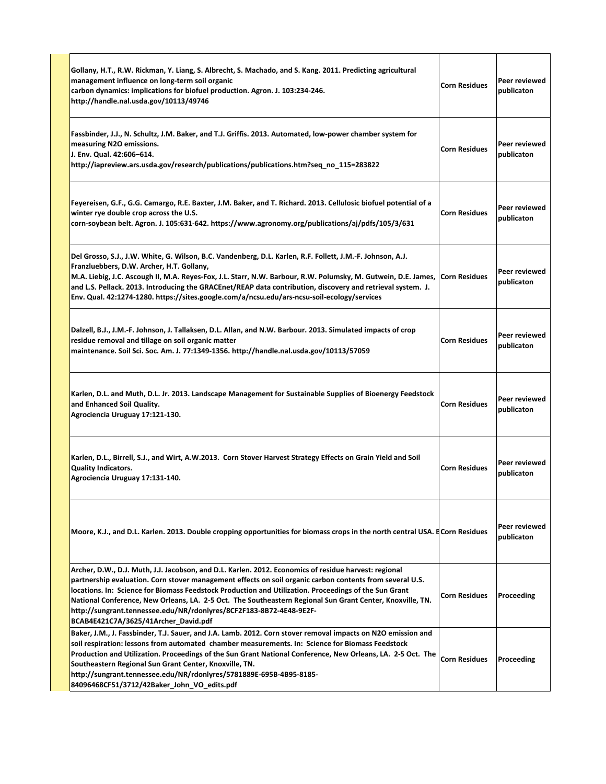| Gollany, H.T., R.W. Rickman, Y. Liang, S. Albrecht, S. Machado, and S. Kang. 2011. Predicting agricultural<br>management influence on long-term soil organic<br>carbon dynamics: implications for biofuel production. Agron. J. 103:234-246.<br>http://handle.nal.usda.gov/10113/49746                                                                                                                                                                                                                                                                 | <b>Corn Residues</b> | Peer reviewed<br>publicaton |
|--------------------------------------------------------------------------------------------------------------------------------------------------------------------------------------------------------------------------------------------------------------------------------------------------------------------------------------------------------------------------------------------------------------------------------------------------------------------------------------------------------------------------------------------------------|----------------------|-----------------------------|
| Fassbinder, J.J., N. Schultz, J.M. Baker, and T.J. Griffis. 2013. Automated, low-power chamber system for<br>measuring N2O emissions.<br>J. Env. Qual. 42:606-614.<br>http://iapreview.ars.usda.gov/research/publications/publications.htm?seq no 115=283822                                                                                                                                                                                                                                                                                           | <b>Corn Residues</b> | Peer reviewed<br>publicaton |
| Feyereisen, G.F., G.G. Camargo, R.E. Baxter, J.M. Baker, and T. Richard. 2013. Cellulosic biofuel potential of a<br>winter rye double crop across the U.S.<br>corn-soybean belt. Agron. J. 105:631-642. https://www.agronomy.org/publications/aj/pdfs/105/3/631                                                                                                                                                                                                                                                                                        | <b>Corn Residues</b> | Peer reviewed<br>publicaton |
| Del Grosso, S.J., J.W. White, G. Wilson, B.C. Vandenberg, D.L. Karlen, R.F. Follett, J.M.-F. Johnson, A.J.<br>Franzluebbers, D.W. Archer, H.T. Gollany,<br>M.A. Liebig, J.C. Ascough II, M.A. Reyes-Fox, J.L. Starr, N.W. Barbour, R.W. Polumsky, M. Gutwein, D.E. James, Corn Residues<br>and L.S. Pellack. 2013. Introducing the GRACEnet/REAP data contribution, discovery and retrieval system. J.<br>Env. Qual. 42:1274-1280. https://sites.google.com/a/ncsu.edu/ars-ncsu-soil-ecology/services                                                  |                      | Peer reviewed<br>publicaton |
| Dalzell, B.J., J.M.-F. Johnson, J. Tallaksen, D.L. Allan, and N.W. Barbour. 2013. Simulated impacts of crop<br>residue removal and tillage on soil organic matter<br>maintenance. Soil Sci. Soc. Am. J. 77:1349-1356. http://handle.nal.usda.gov/10113/57059                                                                                                                                                                                                                                                                                           | <b>Corn Residues</b> | Peer reviewed<br>publicaton |
| Karlen, D.L. and Muth, D.L. Jr. 2013. Landscape Management for Sustainable Supplies of Bioenergy Feedstock<br>and Enhanced Soil Quality.<br>Agrociencia Uruguay 17:121-130.                                                                                                                                                                                                                                                                                                                                                                            | <b>Corn Residues</b> | Peer reviewed<br>publicaton |
| Karlen, D.L., Birrell, S.J., and Wirt, A.W.2013. Corn Stover Harvest Strategy Effects on Grain Yield and Soil<br><b>Quality Indicators.</b><br>Agrociencia Uruguay 17:131-140.                                                                                                                                                                                                                                                                                                                                                                         | <b>Corn Residues</b> | Peer reviewed<br>publicaton |
| Moore, K.J., and D.L. Karlen. 2013. Double cropping opportunities for biomass crops in the north central USA. ECorn Residues                                                                                                                                                                                                                                                                                                                                                                                                                           |                      | Peer reviewed<br>publicaton |
| Archer, D.W., D.J. Muth, J.J. Jacobson, and D.L. Karlen. 2012. Economics of residue harvest: regional<br>partnership evaluation. Corn stover management effects on soil organic carbon contents from several U.S.<br>locations. In: Science for Biomass Feedstock Production and Utilization. Proceedings of the Sun Grant<br>National Conference, New Orleans, LA. 2-5 Oct. The Southeastern Regional Sun Grant Center, Knoxville, TN.<br>http://sungrant.tennessee.edu/NR/rdonlyres/8CF2F183-8B72-4E48-9E2F-<br>BCAB4E421C7A/3625/41Archer David.pdf | <b>Corn Residues</b> | Proceeding                  |
| Baker, J.M., J. Fassbinder, T.J. Sauer, and J.A. Lamb. 2012. Corn stover removal impacts on N2O emission and<br>soil respiration: lessons from automated chamber measurements. In: Science for Biomass Feedstock<br>Production and Utilization. Proceedings of the Sun Grant National Conference, New Orleans, LA. 2-5 Oct. The<br>Southeastern Regional Sun Grant Center, Knoxville, TN.<br>http://sungrant.tennessee.edu/NR/rdonlyres/5781889E-695B-4B95-8185-<br>84096468CF51/3712/42Baker John VO edits.pdf                                        | <b>Corn Residues</b> | Proceeding                  |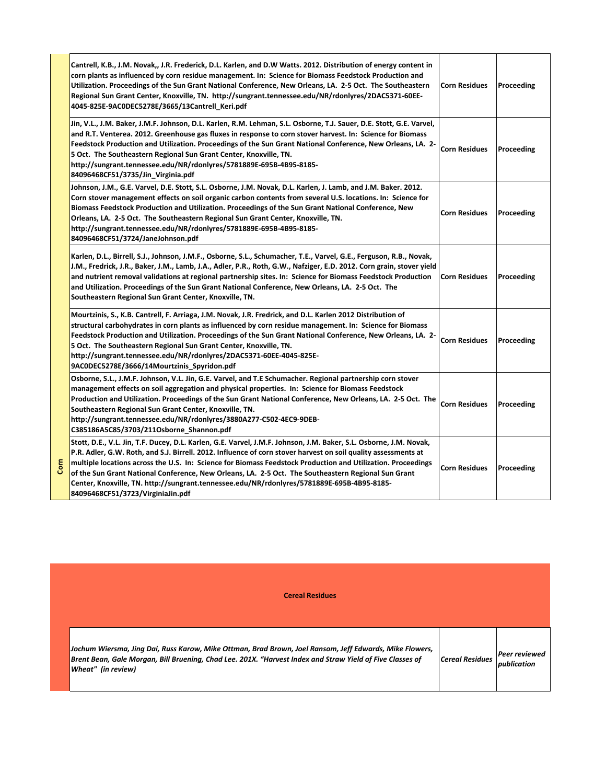| Cantrell, K.B., J.M. Novak,, J.R. Frederick, D.L. Karlen, and D.W Watts. 2012. Distribution of energy content in<br>corn plants as influenced by corn residue management. In: Science for Biomass Feedstock Production and<br>Utilization. Proceedings of the Sun Grant National Conference, New Orleans, LA. 2-5 Oct. The Southeastern<br>Regional Sun Grant Center, Knoxville, TN. http://sungrant.tennessee.edu/NR/rdonlyres/2DAC5371-60EE-<br>4045-825E-9AC0DEC5278E/3665/13Cantrell Keri.pdf                                                                                              | <b>Corn Residues</b> | Proceeding |
|------------------------------------------------------------------------------------------------------------------------------------------------------------------------------------------------------------------------------------------------------------------------------------------------------------------------------------------------------------------------------------------------------------------------------------------------------------------------------------------------------------------------------------------------------------------------------------------------|----------------------|------------|
| Jin, V.L., J.M. Baker, J.M.F. Johnson, D.L. Karlen, R.M. Lehman, S.L. Osborne, T.J. Sauer, D.E. Stott, G.E. Varvel,<br>and R.T. Venterea. 2012. Greenhouse gas fluxes in response to corn stover harvest. In: Science for Biomass<br>Feedstock Production and Utilization. Proceedings of the Sun Grant National Conference, New Orleans, LA. 2-<br>5 Oct. The Southeastern Regional Sun Grant Center, Knoxville, TN.<br>http://sungrant.tennessee.edu/NR/rdonlyres/5781889E-695B-4B95-8185-<br>84096468CF51/3735/Jin Virginia.pdf                                                             | <b>Corn Residues</b> | Proceeding |
| Johnson, J.M., G.E. Varvel, D.E. Stott, S.L. Osborne, J.M. Novak, D.L. Karlen, J. Lamb, and J.M. Baker. 2012.<br>Corn stover management effects on soil organic carbon contents from several U.S. locations. In: Science for<br>Biomass Feedstock Production and Utilization. Proceedings of the Sun Grant National Conference, New<br>Orleans, LA. 2-5 Oct. The Southeastern Regional Sun Grant Center, Knoxville, TN.<br>http://sungrant.tennessee.edu/NR/rdonlyres/5781889E-695B-4B95-8185-<br>84096468CF51/3724/JaneJohnson.pdf                                                            | <b>Corn Residues</b> | Proceeding |
| Karlen, D.L., Birrell, S.J., Johnson, J.M.F., Osborne, S.L., Schumacher, T.E., Varvel, G.E., Ferguson, R.B., Novak,<br>J.M., Fredrick, J.R., Baker, J.M., Lamb, J.A., Adler, P.R., Roth, G.W., Nafziger, E.D. 2012. Corn grain, stover yield<br>and nutrient removal validations at regional partnership sites. In: Science for Biomass Feedstock Production<br>and Utilization. Proceedings of the Sun Grant National Conference, New Orleans, LA. 2-5 Oct. The<br>Southeastern Regional Sun Grant Center, Knoxville, TN.                                                                     | <b>Corn Residues</b> | Proceeding |
| Mourtzinis, S., K.B. Cantrell, F. Arriaga, J.M. Novak, J.R. Fredrick, and D.L. Karlen 2012 Distribution of<br>structural carbohydrates in corn plants as influenced by corn residue management. In: Science for Biomass<br>Feedstock Production and Utilization. Proceedings of the Sun Grant National Conference, New Orleans, LA. 2-<br>5 Oct. The Southeastern Regional Sun Grant Center, Knoxville, TN.<br>http://sungrant.tennessee.edu/NR/rdonlyres/2DAC5371-60EE-4045-825E-<br>9AC0DEC5278E/3666/14Mourtzinis Spyridon.pdf                                                              | <b>Corn Residues</b> | Proceeding |
| Osborne, S.L., J.M.F. Johnson, V.L. Jin, G.E. Varvel, and T.E Schumacher. Regional partnership corn stover<br>management effects on soil aggregation and physical properties. In: Science for Biomass Feedstock<br>Production and Utilization. Proceedings of the Sun Grant National Conference, New Orleans, LA. 2-5 Oct. The<br>Southeastern Regional Sun Grant Center, Knoxville, TN.<br>http://sungrant.tennessee.edu/NR/rdonlyres/3880A277-C502-4EC9-9DEB-<br>C385186A5C85/3703/211Osborne_Shannon.pdf                                                                                    | <b>Corn Residues</b> | Proceeding |
| Stott, D.E., V.L. Jin, T.F. Ducey, D.L. Karlen, G.E. Varvel, J.M.F. Johnson, J.M. Baker, S.L. Osborne, J.M. Novak,<br>P.R. Adler, G.W. Roth, and S.J. Birrell. 2012. Influence of corn stover harvest on soil quality assessments at<br>multiple locations across the U.S. In: Science for Biomass Feedstock Production and Utilization. Proceedings<br>of the Sun Grant National Conference, New Orleans, LA. 2-5 Oct. The Southeastern Regional Sun Grant<br>Center, Knoxville, TN. http://sungrant.tennessee.edu/NR/rdonlyres/5781889E-695B-4B95-8185-<br>84096468CF51/3723/VirginiaJin.pdf | <b>Corn Residues</b> | Proceeding |

| <b>Contract Contract Contract Contract Contract Contract Contract Contract Contract Contract Contract Contract Co</b> | ٠ |
|-----------------------------------------------------------------------------------------------------------------------|---|
|                                                                                                                       |   |

| <b>Cereal Residues</b>                                                                                                                                                                                                                     |                            |                              |
|--------------------------------------------------------------------------------------------------------------------------------------------------------------------------------------------------------------------------------------------|----------------------------|------------------------------|
| Jochum Wiersma, Jing Dai, Russ Karow, Mike Ottman, Brad Brown, Joel Ransom, Jeff Edwards, Mike Flowers,<br>Brent Bean, Gale Morgan, Bill Bruening, Chad Lee. 201X. "Harvest Index and Straw Yield of Five Classes of<br>Wheat" (in review) | $\epsilon$ Cereal Residues | Peer reviewed<br>publication |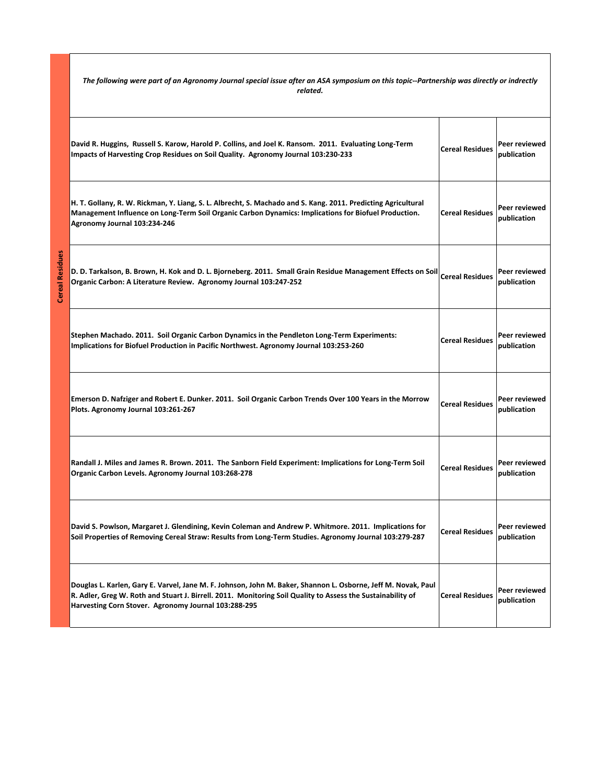The following were part of an Agronomy Journal special issue after an ASA symposium on this topic--Partnership was directly or indrectly *related.*

| David R. Huggins, Russell S. Karow, Harold P. Collins, and Joel K. Ransom. 2011. Evaluating Long-Term<br>Impacts of Harvesting Crop Residues on Soil Quality. Agronomy Journal 103:230-233                                                                                           | <b>Cereal Residues</b> | Peer reviewed<br>publication |
|--------------------------------------------------------------------------------------------------------------------------------------------------------------------------------------------------------------------------------------------------------------------------------------|------------------------|------------------------------|
| H. T. Gollany, R. W. Rickman, Y. Liang, S. L. Albrecht, S. Machado and S. Kang. 2011. Predicting Agricultural<br>Management Influence on Long-Term Soil Organic Carbon Dynamics: Implications for Biofuel Production.<br>Agronomy Journal 103:234-246                                | <b>Cereal Residues</b> | Peer reviewed<br>publication |
| D. D. Tarkalson, B. Brown, H. Kok and D. L. Bjorneberg. 2011. Small Grain Residue Management Effects on Soil Cereal Residues<br>Organic Carbon: A Literature Review. Agronomy Journal 103:247-252                                                                                    |                        | Peer reviewed<br>publication |
| Stephen Machado. 2011. Soil Organic Carbon Dynamics in the Pendleton Long-Term Experiments:<br>Implications for Biofuel Production in Pacific Northwest. Agronomy Journal 103:253-260                                                                                                | <b>Cereal Residues</b> | Peer reviewed<br>publication |
| Emerson D. Nafziger and Robert E. Dunker. 2011. Soil Organic Carbon Trends Over 100 Years in the Morrow<br>Plots. Agronomy Journal 103:261-267                                                                                                                                       | <b>Cereal Residues</b> | Peer reviewed<br>publication |
| Randall J. Miles and James R. Brown. 2011. The Sanborn Field Experiment: Implications for Long-Term Soil<br>Organic Carbon Levels. Agronomy Journal 103:268-278                                                                                                                      | <b>Cereal Residues</b> | Peer reviewed<br>publication |
| David S. Powlson, Margaret J. Glendining, Kevin Coleman and Andrew P. Whitmore. 2011. Implications for<br>Soil Properties of Removing Cereal Straw: Results from Long-Term Studies. Agronomy Journal 103:279-287                                                                     | <b>Cereal Residues</b> | Peer reviewed<br>publication |
| Douglas L. Karlen, Gary E. Varvel, Jane M. F. Johnson, John M. Baker, Shannon L. Osborne, Jeff M. Novak, Paul<br>R. Adler, Greg W. Roth and Stuart J. Birrell. 2011. Monitoring Soil Quality to Assess the Sustainability of<br>Harvesting Corn Stover. Agronomy Journal 103:288-295 | <b>Cereal Residues</b> | Peer reviewed<br>publication |

**Cereal Residues**